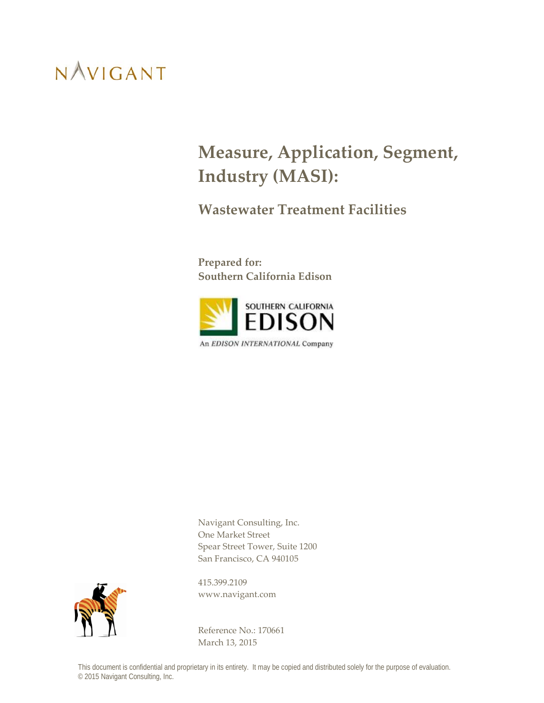### **Measure, Application, Segment, Industry (MASI):**

**Wastewater Treatment Facilities**

**Prepared for: Southern California Edison**



Navigant Consulting, Inc. One Market Street Spear Street Tower, Suite 1200 San Francisco, CA 940105



415.399.2109 www.navigant.com

Reference No.: 170661 March 13, 2015

This document is confidential and proprietary in its entirety. It may be copied and distributed solely for the purpose of evaluation. © 2015 Navigant Consulting, Inc.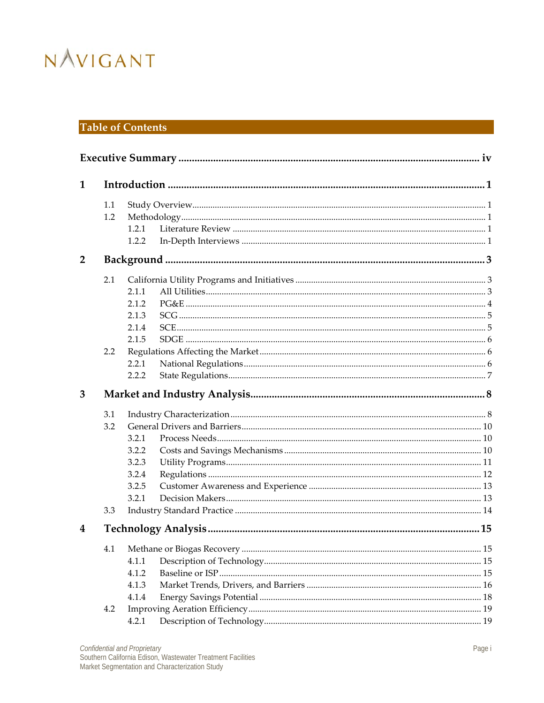### **Table of Contents**

| $\mathbf{1}$   |     |       |    |
|----------------|-----|-------|----|
|                | 1.1 |       |    |
|                | 1.2 |       |    |
|                |     | 1.2.1 |    |
|                |     | 1.2.2 |    |
| $\overline{2}$ |     |       |    |
|                | 2.1 |       |    |
|                |     | 2.1.1 |    |
|                |     | 2.1.2 |    |
|                |     | 2.1.3 |    |
|                |     | 2.1.4 |    |
|                |     | 2.1.5 |    |
|                | 2.2 |       |    |
|                |     | 2.2.1 |    |
|                |     | 2.2.2 |    |
| 3              |     |       |    |
|                | 3.1 |       |    |
|                | 3.2 |       |    |
|                |     | 3.2.1 |    |
|                |     | 3.2.2 |    |
|                |     | 3.2.3 |    |
|                |     | 3.2.4 |    |
|                |     | 3.2.5 |    |
|                |     | 3.2.1 |    |
|                | 3.3 |       |    |
| 4              |     |       |    |
|                |     |       | 15 |
|                |     | 4.1.1 |    |
|                |     | 4.1.2 |    |
|                |     | 4.1.3 |    |
|                |     | 4.1.4 |    |
|                | 4.2 |       |    |
|                |     | 4.2.1 |    |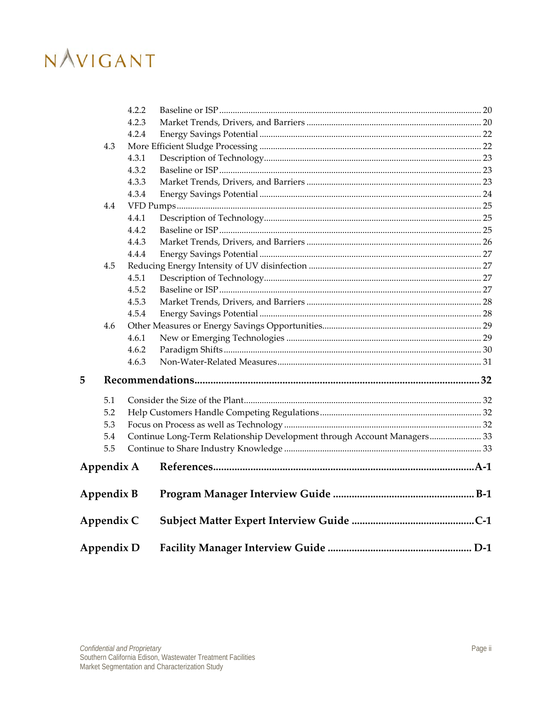|                   |            | 4.2.2 |                                                                         |  |
|-------------------|------------|-------|-------------------------------------------------------------------------|--|
|                   |            | 4.2.3 |                                                                         |  |
|                   |            | 4.2.4 |                                                                         |  |
|                   | 4.3        |       |                                                                         |  |
|                   |            | 4.3.1 |                                                                         |  |
|                   |            | 4.3.2 |                                                                         |  |
|                   |            | 4.3.3 |                                                                         |  |
|                   |            | 4.3.4 |                                                                         |  |
|                   | 4.4        |       |                                                                         |  |
|                   |            | 4.4.1 |                                                                         |  |
|                   |            | 4.4.2 |                                                                         |  |
|                   |            | 4.4.3 |                                                                         |  |
|                   |            | 4.4.4 |                                                                         |  |
|                   | 4.5        |       |                                                                         |  |
|                   |            | 4.5.1 |                                                                         |  |
|                   |            | 4.5.2 |                                                                         |  |
|                   |            | 4.5.3 |                                                                         |  |
|                   |            | 4.5.4 |                                                                         |  |
|                   | 4.6        |       |                                                                         |  |
|                   |            | 4.6.1 |                                                                         |  |
|                   |            | 4.6.2 |                                                                         |  |
|                   |            | 4.6.3 |                                                                         |  |
| 5                 |            |       |                                                                         |  |
|                   | 5.1        |       |                                                                         |  |
|                   | 5.2        |       |                                                                         |  |
|                   | 5.3        |       |                                                                         |  |
|                   | 5.4        |       | Continue Long-Term Relationship Development through Account Managers 33 |  |
|                   | 5.5        |       |                                                                         |  |
|                   | Appendix A |       |                                                                         |  |
|                   | Appendix B |       |                                                                         |  |
|                   | Appendix C |       |                                                                         |  |
| <b>Appendix D</b> |            |       |                                                                         |  |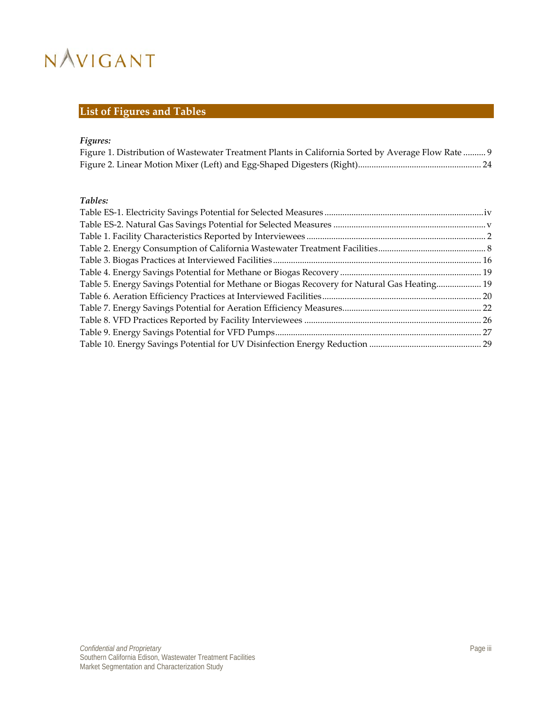### **List of Figures and Tables**

### *Figures:*

| Figure 1. Distribution of Wastewater Treatment Plants in California Sorted by Average Flow Rate  9 |  |  |
|----------------------------------------------------------------------------------------------------|--|--|
|                                                                                                    |  |  |

### *Tables:*

| Table 5. Energy Savings Potential for Methane or Biogas Recovery for Natural Gas Heating 19 |  |
|---------------------------------------------------------------------------------------------|--|
|                                                                                             |  |
|                                                                                             |  |
|                                                                                             |  |
|                                                                                             |  |
|                                                                                             |  |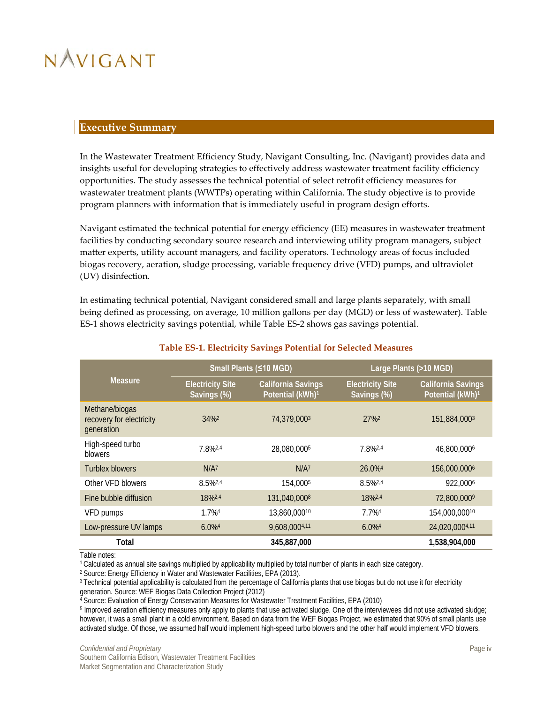### <span id="page-4-0"></span>**Executive Summary**

In the Wastewater Treatment Efficiency Study, Navigant Consulting, Inc. (Navigant) provides data and insights useful for developing strategies to effectively address wastewater treatment facility efficiency opportunities. The study assesses the technical potential of select retrofit efficiency measures for wastewater treatment plants (WWTPs) operating within California. The study objective is to provide program planners with information that is immediately useful in program design efforts.

Navigant estimated the technical potential for energy efficiency (EE) measures in wastewater treatment facilities by conducting secondary source research and interviewing utility program managers, subject matter experts, utility account managers, and facility operators. Technology areas of focus included biogas recovery, aeration, sludge processing, variable frequency drive (VFD) pumps, and ultraviolet (UV) disinfection.

In estimating technical potential, Navigant considered small and large plants separately, with small being defined as processing, on average, 10 million gallons per day (MGD) or less of wastewater). [Table](#page-4-1)  [ES-1](#page-4-1) shows electricity savings potential, while [Table ES-2](#page-5-0) shows gas savings potential.

<span id="page-4-1"></span>

|                                                          |                                        | Small Plants (≤10 MGD)                                    |                                        | Large Plants (>10 MGD)                                    |  |  |
|----------------------------------------------------------|----------------------------------------|-----------------------------------------------------------|----------------------------------------|-----------------------------------------------------------|--|--|
| Measure                                                  | <b>Electricity Site</b><br>Savings (%) | <b>California Savings</b><br>Potential (kWh) <sup>1</sup> | <b>Electricity Site</b><br>Savings (%) | <b>California Savings</b><br>Potential (kWh) <sup>1</sup> |  |  |
| Methane/biogas<br>recovery for electricity<br>generation | $34\%2$                                | 74,379,0003                                               | 27%                                    | 151,884,0003                                              |  |  |
| High-speed turbo<br>blowers                              | 7.8%2,4                                | 28,080,0005                                               | 7.8%2,4                                | 46,800,0006                                               |  |  |
| Turblex blowers                                          | $N/A^7$                                | $N/A^7$                                                   | $26.0\%$ <sup>4</sup>                  | 156,000,0006                                              |  |  |
| Other VFD blowers                                        | 8.5%2.4                                | 154.0005                                                  | 8.5%2,4                                | 922,0006                                                  |  |  |
| Fine bubble diffusion                                    | 18%2,4                                 | 131,040,0008                                              | 18%2,4                                 | 72,800,000 <sup>9</sup>                                   |  |  |
| VFD pumps                                                | $1.7\%4$                               | 13,860,00010                                              | $7.7\%4$                               | 154,000,00010                                             |  |  |
| Low-pressure UV lamps                                    | $6.0\%$ <sup>4</sup>                   | 9,608,0004,11                                             | $6.0\%$ <sup>4</sup>                   | 24,020,0004,11                                            |  |  |
| Total                                                    |                                        | 345,887,000                                               |                                        | 1,538,904,000                                             |  |  |

### **Table ES-1. Electricity Savings Potential for Selected Measures**

Table notes:

<sup>1</sup> Calculated as annual site savings multiplied by applicability multiplied by total number of plants in each size category.

<sup>2</sup> Source: Energy Efficiency in Water and Wastewater Facilities, EPA (2013).

<sup>3</sup> Technical potential applicability is calculated from the percentage of California plants that use biogas but do not use it for electricity generation. Source: WEF Biogas Data Collection Project (2012)

<sup>4</sup> Source: Evaluation of Energy Conservation Measures for Wastewater Treatment Facilities, EPA (2010)

<sup>5</sup> Improved aeration efficiency measures only apply to plants that use activated sludge. One of the interviewees did not use activated sludge; however, it was a small plant in a cold environment. Based on data from the WEF Biogas Project, we estimated that 90% of small plants use activated sludge. Of those, we assumed half would implement high-speed turbo blowers and the other half would implement VFD blowers.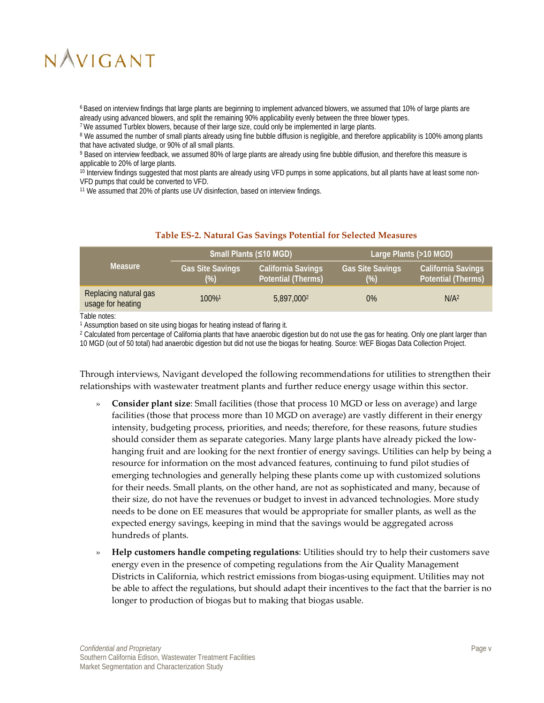6 Based on interview findings that large plants are beginning to implement advanced blowers, we assumed that 10% of large plants are already using advanced blowers, and split the remaining 90% applicability evenly between the three blower types.

7 We assumed Turblex blowers, because of their large size, could only be implemented in large plants.

<sup>8</sup> We assumed the number of small plants already using fine bubble diffusion is negligible, and therefore applicability is 100% among plants that have activated sludge, or 90% of all small plants.

9 Based on interview feedback, we assumed 80% of large plants are already using fine bubble diffusion, and therefore this measure is applicable to 20% of large plants.

<sup>10</sup> Interview findings suggested that most plants are already using VFD pumps in some applications, but all plants have at least some non-VFD pumps that could be converted to VFD.

<sup>11</sup> We assumed that 20% of plants use UV disinfection, based on interview findings.

#### **Table ES-2. Natural Gas Savings Potential for Selected Measures**

<span id="page-5-0"></span>

|                                            |                                   | Small Plants (≤10 MGD)                                 |                                 | Large Plants (>10 MGD)                          |
|--------------------------------------------|-----------------------------------|--------------------------------------------------------|---------------------------------|-------------------------------------------------|
| <b>Measure</b>                             | <b>Gas Site Savings</b><br>$(\%)$ | <b>California Savings</b><br><b>Potential (Therms)</b> | <b>Gas Site Savings</b><br>(% ) | California Savings<br><b>Potential (Therms)</b> |
| Replacing natural gas<br>usage for heating | 100% <sup>1</sup>                 | 5,897,000 <sup>2</sup>                                 | $0\%$                           | N/A <sup>2</sup>                                |

Table notes:

<sup>1</sup> Assumption based on site using biogas for heating instead of flaring it.

<sup>2</sup> Calculated from percentage of California plants that have anaerobic digestion but do not use the gas for heating. Only one plant larger than 10 MGD (out of 50 total) had anaerobic digestion but did not use the biogas for heating. Source: WEF Biogas Data Collection Project.

Through interviews, Navigant developed the following recommendations for utilities to strengthen their relationships with wastewater treatment plants and further reduce energy usage within this sector.

- » **Consider plant size**: Small facilities (those that process 10 MGD or less on average) and large facilities (those that process more than 10 MGD on average) are vastly different in their energy intensity, budgeting process, priorities, and needs; therefore, for these reasons, future studies should consider them as separate categories. Many large plants have already picked the lowhanging fruit and are looking for the next frontier of energy savings. Utilities can help by being a resource for information on the most advanced features, continuing to fund pilot studies of emerging technologies and generally helping these plants come up with customized solutions for their needs. Small plants, on the other hand, are not as sophisticated and many, because of their size, do not have the revenues or budget to invest in advanced technologies. More study needs to be done on EE measures that would be appropriate for smaller plants, as well as the expected energy savings, keeping in mind that the savings would be aggregated across hundreds of plants.
- » **Help customers handle competing regulations**: Utilities should try to help their customers save energy even in the presence of competing regulations from the Air Quality Management Districts in California, which restrict emissions from biogas-using equipment. Utilities may not be able to affect the regulations, but should adapt their incentives to the fact that the barrier is no longer to production of biogas but to making that biogas usable.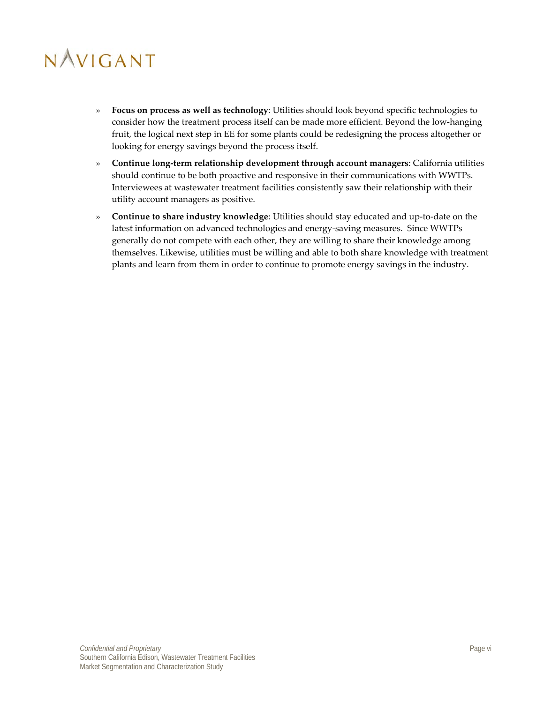- » **Focus on process as well as technology**: Utilities should look beyond specific technologies to consider how the treatment process itself can be made more efficient. Beyond the low-hanging fruit, the logical next step in EE for some plants could be redesigning the process altogether or looking for energy savings beyond the process itself.
- » **Continue long-term relationship development through account managers**: California utilities should continue to be both proactive and responsive in their communications with WWTPs. Interviewees at wastewater treatment facilities consistently saw their relationship with their utility account managers as positive.
- » **Continue to share industry knowledge**: Utilities should stay educated and up-to-date on the latest information on advanced technologies and energy-saving measures. Since WWTPs generally do not compete with each other, they are willing to share their knowledge among themselves. Likewise, utilities must be willing and able to both share knowledge with treatment plants and learn from them in order to continue to promote energy savings in the industry.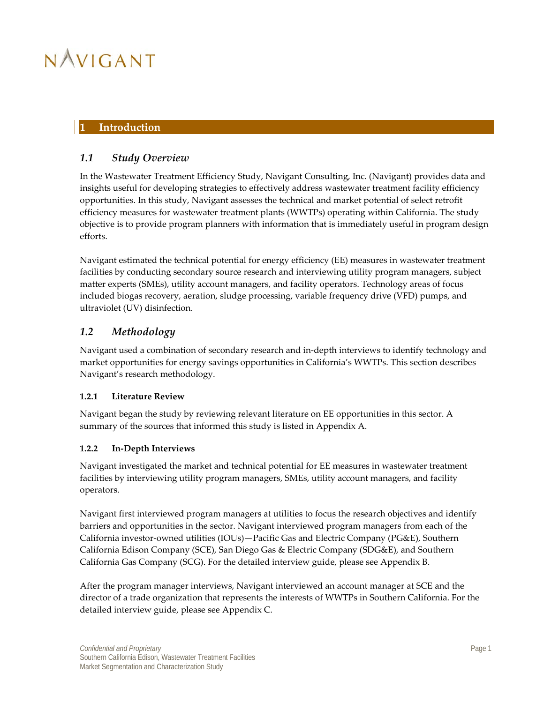### <span id="page-7-0"></span>**1 Introduction**

### <span id="page-7-1"></span>*1.1 Study Overview*

In the Wastewater Treatment Efficiency Study, Navigant Consulting, Inc. (Navigant) provides data and insights useful for developing strategies to effectively address wastewater treatment facility efficiency opportunities. In this study, Navigant assesses the technical and market potential of select retrofit efficiency measures for wastewater treatment plants (WWTPs) operating within California. The study objective is to provide program planners with information that is immediately useful in program design efforts.

Navigant estimated the technical potential for energy efficiency (EE) measures in wastewater treatment facilities by conducting secondary source research and interviewing utility program managers, subject matter experts (SMEs), utility account managers, and facility operators. Technology areas of focus included biogas recovery, aeration, sludge processing, variable frequency drive (VFD) pumps, and ultraviolet (UV) disinfection.

### <span id="page-7-2"></span>*1.2 Methodology*

Navigant used a combination of secondary research and in-depth interviews to identify technology and market opportunities for energy savings opportunities in California's WWTPs. This section describes Navigant's research methodology.

### <span id="page-7-3"></span>**1.2.1 Literature Review**

Navigant began the study by reviewing relevant literature on EE opportunities in this sector. A summary of the sources that informed this study is listed in [Appendix A.](#page-40-0)

### <span id="page-7-4"></span>**1.2.2 In-Depth Interviews**

Navigant investigated the market and technical potential for EE measures in wastewater treatment facilities by interviewing utility program managers, SMEs, utility account managers, and facility operators.

Navigant first interviewed program managers at utilities to focus the research objectives and identify barriers and opportunities in the sector. Navigant interviewed program managers from each of the California investor-owned utilities (IOUs)—Pacific Gas and Electric Company (PG&E), Southern California Edison Company (SCE), San Diego Gas & Electric Company (SDG&E), and Southern California Gas Company (SCG). For the detailed interview guide, please see Appendix B.

After the program manager interviews, Navigant interviewed an account manager at SCE and the director of a trade organization that represents the interests of WWTPs in Southern California. For the detailed interview guide, please see Appendix C.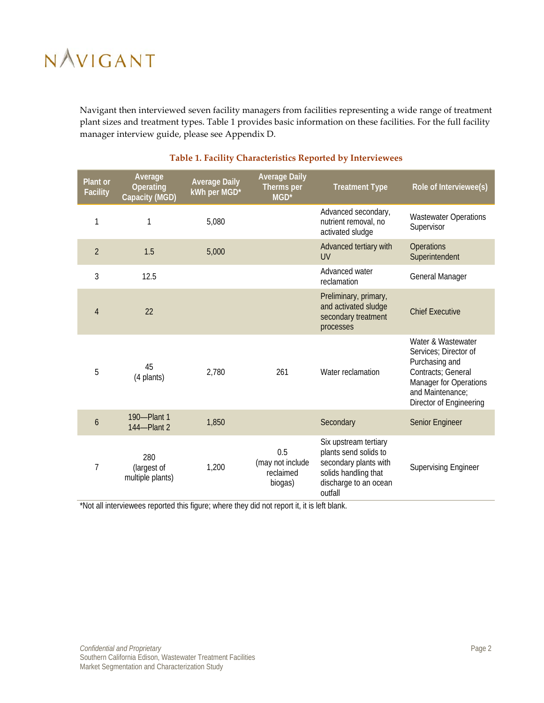Navigant then interviewed seven facility managers from facilities representing a wide range of treatment plant sizes and treatment types. [Table 1](#page-8-0) provides basic information on these facilities. For the full facility manager interview guide, please see Appendix D.

<span id="page-8-0"></span>

| Plant or<br><b>Facility</b> | Average<br>Operating<br>Capacity (MGD) | <b>Average Daily</b><br>kWh per MGD* | <b>Average Daily</b><br>Therms per<br>MGD*      | <b>Treatment Type</b>                                                                                                               | Role of Interviewee(s)                                                                                                                                       |
|-----------------------------|----------------------------------------|--------------------------------------|-------------------------------------------------|-------------------------------------------------------------------------------------------------------------------------------------|--------------------------------------------------------------------------------------------------------------------------------------------------------------|
| 1                           | 1                                      | 5,080                                |                                                 | Advanced secondary,<br>nutrient removal, no<br>activated sludge                                                                     | <b>Wastewater Operations</b><br>Supervisor                                                                                                                   |
| $\overline{2}$              | 1.5                                    | 5,000                                |                                                 | Advanced tertiary with<br><b>UV</b>                                                                                                 | Operations<br>Superintendent                                                                                                                                 |
| 3                           | 12.5                                   |                                      |                                                 | Advanced water<br>reclamation                                                                                                       | General Manager                                                                                                                                              |
| $\overline{4}$              | 22                                     |                                      |                                                 | Preliminary, primary,<br>and activated sludge<br>secondary treatment<br>processes                                                   | <b>Chief Executive</b>                                                                                                                                       |
| 5                           | 45<br>(4 plants)                       | 2,780                                | 261                                             | Water reclamation                                                                                                                   | Water & Wastewater<br>Services; Director of<br>Purchasing and<br>Contracts; General<br>Manager for Operations<br>and Maintenance;<br>Director of Engineering |
| 6                           | 190-Plant 1<br>144-Plant 2             | 1,850                                |                                                 | Secondary                                                                                                                           | Senior Engineer                                                                                                                                              |
| $\overline{1}$              | 280<br>(largest of<br>multiple plants) | 1,200                                | 0.5<br>(may not include<br>reclaimed<br>biogas) | Six upstream tertiary<br>plants send solids to<br>secondary plants with<br>solids handling that<br>discharge to an ocean<br>outfall | <b>Supervising Engineer</b>                                                                                                                                  |

### **Table 1. Facility Characteristics Reported by Interviewees**

\*Not all interviewees reported this figure; where they did not report it, it is left blank.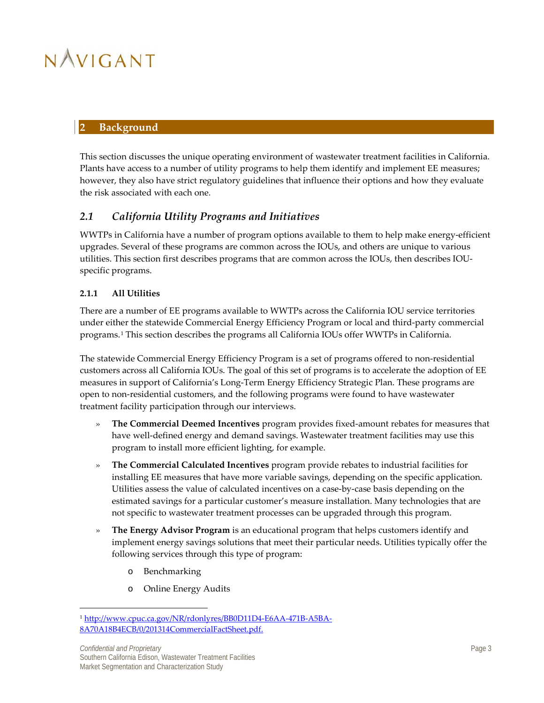### <span id="page-9-0"></span>**2 Background**

This section discusses the unique operating environment of wastewater treatment facilities in California. Plants have access to a number of utility programs to help them identify and implement EE measures; however, they also have strict regulatory guidelines that influence their options and how they evaluate the risk associated with each one.

### <span id="page-9-1"></span>*2.1 California Utility Programs and Initiatives*

WWTPs in California have a number of program options available to them to help make energy-efficient upgrades. Several of these programs are common across the IOUs, and others are unique to various utilities. This section first describes programs that are common across the IOUs, then describes IOUspecific programs.

### <span id="page-9-2"></span>**2.1.1 All Utilities**

There are a number of EE programs available to WWTPs across the California IOU service territories under either the statewide Commercial Energy Efficiency Program or local and third-party commercial programs.[1](#page-9-3) This section describes the programs all California IOUs offer WWTPs in California.

The statewide Commercial Energy Efficiency Program is a set of programs offered to non-residential customers across all California IOUs. The goal of this set of programs is to accelerate the adoption of EE measures in support of California's Long-Term Energy Efficiency Strategic Plan. These programs are open to non-residential customers, and the following programs were found to have wastewater treatment facility participation through our interviews.

- » **The Commercial Deemed Incentives** program provides fixed-amount rebates for measures that have well-defined energy and demand savings. Wastewater treatment facilities may use this program to install more efficient lighting, for example.
- » **The Commercial Calculated Incentives** program provide rebates to industrial facilities for installing EE measures that have more variable savings, depending on the specific application. Utilities assess the value of calculated incentives on a case-by-case basis depending on the estimated savings for a particular customer's measure installation. Many technologies that are not specific to wastewater treatment processes can be upgraded through this program.
- » **The Energy Advisor Program** is an educational program that helps customers identify and implement energy savings solutions that meet their particular needs. Utilities typically offer the following services through this type of program:
	- o Benchmarking

 $\overline{a}$ 

o Online Energy Audits

<span id="page-9-3"></span><sup>1</sup> [http://www.cpuc.ca.gov/NR/rdonlyres/BB0D11D4-E6AA-471B-A5BA-](http://www.cpuc.ca.gov/NR/rdonlyres/BB0D11D4-E6AA-471B-A5BA-8A70A18B4ECB/0/201314CommercialFactSheet.pdf)[8A70A18B4ECB/0/201314CommercialFactSheet.pdf.](http://www.cpuc.ca.gov/NR/rdonlyres/BB0D11D4-E6AA-471B-A5BA-8A70A18B4ECB/0/201314CommercialFactSheet.pdf)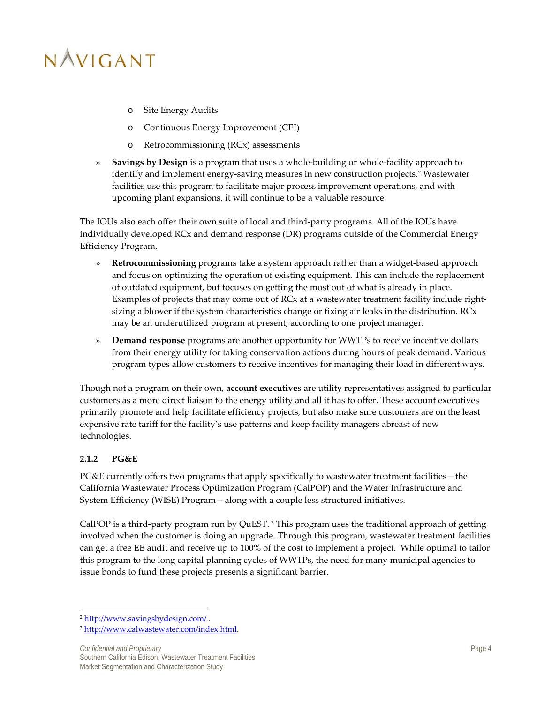- o Site Energy Audits
- o Continuous Energy Improvement (CEI)
- o Retrocommissioning (RCx) assessments
- » **Savings by Design** is a program that uses a whole-building or whole-facility approach to identify and implement energy-saving measures in new construction projects.[2](#page-10-1) Wastewater facilities use this program to facilitate major process improvement operations, and with upcoming plant expansions, it will continue to be a valuable resource.

The IOUs also each offer their own suite of local and third-party programs. All of the IOUs have individually developed RCx and demand response (DR) programs outside of the Commercial Energy Efficiency Program.

- » **Retrocommissioning** programs take a system approach rather than a widget-based approach and focus on optimizing the operation of existing equipment. This can include the replacement of outdated equipment, but focuses on getting the most out of what is already in place. Examples of projects that may come out of RCx at a wastewater treatment facility include rightsizing a blower if the system characteristics change or fixing air leaks in the distribution. RCx may be an underutilized program at present, according to one project manager.
- » **Demand response** programs are another opportunity for WWTPs to receive incentive dollars from their energy utility for taking conservation actions during hours of peak demand. Various program types allow customers to receive incentives for managing their load in different ways.

Though not a program on their own, **account executives** are utility representatives assigned to particular customers as a more direct liaison to the energy utility and all it has to offer. These account executives primarily promote and help facilitate efficiency projects, but also make sure customers are on the least expensive rate tariff for the facility's use patterns and keep facility managers abreast of new technologies.

### <span id="page-10-0"></span>**2.1.2 PG&E**

 $\overline{a}$ 

PG&E currently offers two programs that apply specifically to wastewater treatment facilities—the California Wastewater Process Optimization Program (CalPOP) and the Water Infrastructure and System Efficiency (WISE) Program—along with a couple less structured initiatives.

CalPOP is a third-party program run by QuEST. [3](#page-10-2) This program uses the traditional approach of getting involved when the customer is doing an upgrade. Through this program, wastewater treatment facilities can get a free EE audit and receive up to 100% of the cost to implement a project. While optimal to tailor this program to the long capital planning cycles of WWTPs, the need for many municipal agencies to issue bonds to fund these projects presents a significant barrier.

<span id="page-10-1"></span><sup>2</sup> <http://www.savingsbydesign.com/> .

<span id="page-10-2"></span><sup>3</sup> [http://www.calwastewater.com/index.html.](http://www.calwastewater.com/index.html)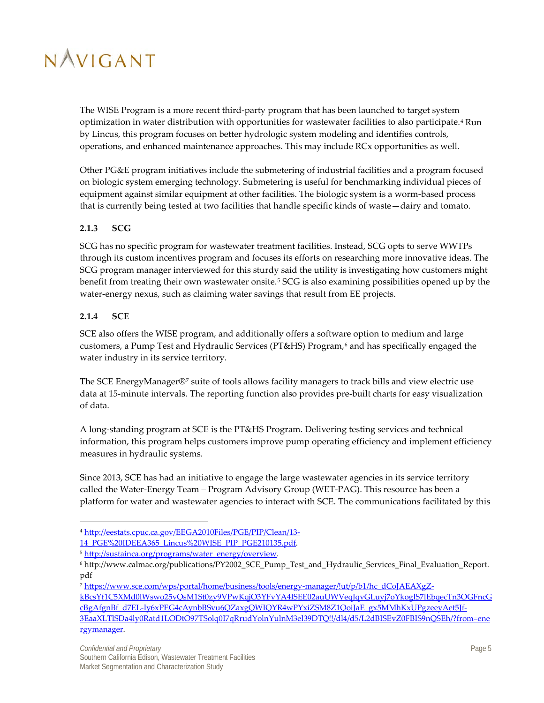The WISE Program is a more recent third-party program that has been launched to target system optimization in water distribution with opportunities for wastewater facilities to also participate.<sup>[4](#page-11-2)</sup> Run by Lincus, this program focuses on better hydrologic system modeling and identifies controls, operations, and enhanced maintenance approaches. This may include RCx opportunities as well.

Other PG&E program initiatives include the submetering of industrial facilities and a program focused on biologic system emerging technology. Submetering is useful for benchmarking individual pieces of equipment against similar equipment at other facilities. The biologic system is a worm-based process that is currently being tested at two facilities that handle specific kinds of waste—dairy and tomato.

### <span id="page-11-0"></span>**2.1.3 SCG**

SCG has no specific program for wastewater treatment facilities. Instead, SCG opts to serve WWTPs through its custom incentives program and focuses its efforts on researching more innovative ideas. The SCG program manager interviewed for this sturdy said the utility is investigating how customers might benefit from treating their own wastewater onsite.[5](#page-11-3) SCG is also examining possibilities opened up by the water-energy nexus, such as claiming water savings that result from EE projects.

### <span id="page-11-1"></span>**2.1.4 SCE**

SCE also offers the WISE program, and additionally offers a software option to medium and large customers, a Pump Test and Hydraulic Services (PT&HS) Program,<sup>[6](#page-11-4)</sup> and has specifically engaged the water industry in its service territory.

The SCE EnergyManager®[7](#page-11-5) suite of tools allows facility managers to track bills and view electric use data at 15-minute intervals. The reporting function also provides pre-built charts for easy visualization of data.

A long-standing program at SCE is the PT&HS Program. Delivering testing services and technical information, this program helps customers improve pump operating efficiency and implement efficiency measures in hydraulic systems.

Since 2013, SCE has had an initiative to engage the large wastewater agencies in its service territory called the Water-Energy Team – Program Advisory Group (WET-PAG). This resource has been a platform for water and wastewater agencies to interact with SCE. The communications facilitated by this

[rgymanager.](https://www.sce.com/wps/portal/home/business/tools/energy-manager/!ut/p/b1/hc_dCoJAEAXgZ-kBcsYf1C5XMd0lWswo25vQsM1St0zy9VPwKqjO3YFvYA4ISEE02auUWVeqJqvGLuyj7oYkoglS7lEbqecTn3OGFncGcBgAfgnBf_d7EL-Iy6xPEG4cAynbBSvu6QZaxgQWIQYR4wPYxiZSM8Z1QoiJaE_gx5MMhKxUPgzeeyAet5Jf-3EaaXLTlSDa4ly0Ratd1LODtO97TSolq0I7qRrudYolnYulnM3el39DTQ!!/dl4/d5/L2dBISEvZ0FBIS9nQSEh/?from=energymanager) 

 $\overline{a}$ 

<span id="page-11-2"></span><sup>4</sup> [http://eestats.cpuc.ca.gov/EEGA2010Files/PGE/PIP/Clean/13-](http://eestats.cpuc.ca.gov/EEGA2010Files/PGE/PIP/Clean/13-14_PGE%20IDEEA365_Lincus%20WISE_PIP_PGE210135.pdf)

[<sup>14</sup>\\_PGE%20IDEEA365\\_Lincus%20WISE\\_PIP\\_PGE210135.pdf.](http://eestats.cpuc.ca.gov/EEGA2010Files/PGE/PIP/Clean/13-14_PGE%20IDEEA365_Lincus%20WISE_PIP_PGE210135.pdf)

<span id="page-11-3"></span><sup>&</sup>lt;sup>5</sup> [http://sustainca.org/programs/water\\_energy/overview.](http://sustainca.org/programs/water_energy/overview)

<span id="page-11-4"></span><sup>6</sup> http://www.calmac.org/publications/PY2002\_SCE\_Pump\_Test\_and\_Hydraulic\_Services\_Final\_Evaluation\_Report. pdf

<span id="page-11-5"></span><sup>7</sup> [https://www.sce.com/wps/portal/home/business/tools/energy-manager/!ut/p/b1/hc\\_dCoJAEAXgZ-](https://www.sce.com/wps/portal/home/business/tools/energy-manager/!ut/p/b1/hc_dCoJAEAXgZ-kBcsYf1C5XMd0lWswo25vQsM1St0zy9VPwKqjO3YFvYA4ISEE02auUWVeqJqvGLuyj7oYkoglS7lEbqecTn3OGFncGcBgAfgnBf_d7EL-Iy6xPEG4cAynbBSvu6QZaxgQWIQYR4wPYxiZSM8Z1QoiJaE_gx5MMhKxUPgzeeyAet5Jf-3EaaXLTlSDa4ly0Ratd1LODtO97TSolq0I7qRrudYolnYulnM3el39DTQ!!/dl4/d5/L2dBISEvZ0FBIS9nQSEh/?from=energymanager)

[kBcsYf1C5XMd0lWswo25vQsM1St0zy9VPwKqjO3YFvYA4ISEE02auUWVeqJqvGLuyj7oYkoglS7lEbqecTn3OGFncG](https://www.sce.com/wps/portal/home/business/tools/energy-manager/!ut/p/b1/hc_dCoJAEAXgZ-kBcsYf1C5XMd0lWswo25vQsM1St0zy9VPwKqjO3YFvYA4ISEE02auUWVeqJqvGLuyj7oYkoglS7lEbqecTn3OGFncGcBgAfgnBf_d7EL-Iy6xPEG4cAynbBSvu6QZaxgQWIQYR4wPYxiZSM8Z1QoiJaE_gx5MMhKxUPgzeeyAet5Jf-3EaaXLTlSDa4ly0Ratd1LODtO97TSolq0I7qRrudYolnYulnM3el39DTQ!!/dl4/d5/L2dBISEvZ0FBIS9nQSEh/?from=energymanager) [cBgAfgnBf\\_d7EL-Iy6xPEG4cAynbBSvu6QZaxgQWIQYR4wPYxiZSM8Z1QoiJaE\\_gx5MMhKxUPgzeeyAet5Jf-](https://www.sce.com/wps/portal/home/business/tools/energy-manager/!ut/p/b1/hc_dCoJAEAXgZ-kBcsYf1C5XMd0lWswo25vQsM1St0zy9VPwKqjO3YFvYA4ISEE02auUWVeqJqvGLuyj7oYkoglS7lEbqecTn3OGFncGcBgAfgnBf_d7EL-Iy6xPEG4cAynbBSvu6QZaxgQWIQYR4wPYxiZSM8Z1QoiJaE_gx5MMhKxUPgzeeyAet5Jf-3EaaXLTlSDa4ly0Ratd1LODtO97TSolq0I7qRrudYolnYulnM3el39DTQ!!/dl4/d5/L2dBISEvZ0FBIS9nQSEh/?from=energymanager)[3EaaXLTlSDa4ly0Ratd1LODtO97TSolq0I7qRrudYolnYulnM3el39DTQ!!/dl4/d5/L2dBISEvZ0FBIS9nQSEh/?from=ene](https://www.sce.com/wps/portal/home/business/tools/energy-manager/!ut/p/b1/hc_dCoJAEAXgZ-kBcsYf1C5XMd0lWswo25vQsM1St0zy9VPwKqjO3YFvYA4ISEE02auUWVeqJqvGLuyj7oYkoglS7lEbqecTn3OGFncGcBgAfgnBf_d7EL-Iy6xPEG4cAynbBSvu6QZaxgQWIQYR4wPYxiZSM8Z1QoiJaE_gx5MMhKxUPgzeeyAet5Jf-3EaaXLTlSDa4ly0Ratd1LODtO97TSolq0I7qRrudYolnYulnM3el39DTQ!!/dl4/d5/L2dBISEvZ0FBIS9nQSEh/?from=energymanager)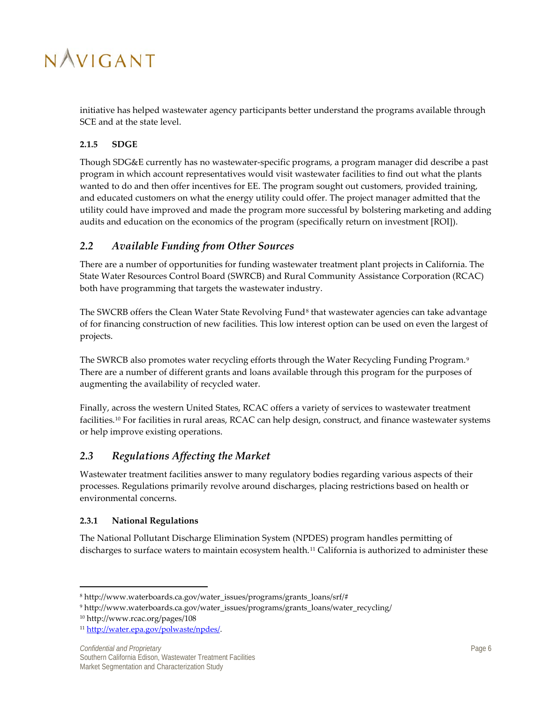

initiative has helped wastewater agency participants better understand the programs available through SCE and at the state level.

### <span id="page-12-0"></span>**2.1.5 SDGE**

Though SDG&E currently has no wastewater-specific programs, a program manager did describe a past program in which account representatives would visit wastewater facilities to find out what the plants wanted to do and then offer incentives for EE. The program sought out customers, provided training, and educated customers on what the energy utility could offer. The project manager admitted that the utility could have improved and made the program more successful by bolstering marketing and adding audits and education on the economics of the program (specifically return on investment [ROI]).

### <span id="page-12-1"></span>*2.2 Available Funding from Other Sources*

There are a number of opportunities for funding wastewater treatment plant projects in California. The State Water Resources Control Board (SWRCB) and Rural Community Assistance Corporation (RCAC) both have programming that targets the wastewater industry.

The SWCRB offers the Clean Water State Revolving Fund<sup>[8](#page-12-3)</sup> that wastewater agencies can take advantage of for financing construction of new facilities. This low interest option can be used on even the largest of projects.

The SWRCB also promotes water recycling efforts through the Water Recycling Funding Program.<sup>[9](#page-12-4)</sup> There are a number of different grants and loans available through this program for the purposes of augmenting the availability of recycled water.

Finally, across the western United States, RCAC offers a variety of services to wastewater treatment facilities.<sup>[10](#page-12-5)</sup> For facilities in rural areas, RCAC can help design, construct, and finance wastewater systems or help improve existing operations.

### *2.3 Regulations Affecting the Market*

Wastewater treatment facilities answer to many regulatory bodies regarding various aspects of their processes. Regulations primarily revolve around discharges, placing restrictions based on health or environmental concerns.

### <span id="page-12-2"></span>**2.3.1 National Regulations**

The National Pollutant Discharge Elimination System (NPDES) program handles permitting of discharges to surface waters to maintain ecosystem health.<sup>[11](#page-12-6)</sup> California is authorized to administer these

 $\overline{\phantom{a}}$ 

<span id="page-12-4"></span><span id="page-12-3"></span><sup>8</sup> http://www.waterboards.ca.gov/water\_issues/programs/grants\_loans/srf/#

<sup>9</sup> http://www.waterboards.ca.gov/water\_issues/programs/grants\_loans/water\_recycling/

<span id="page-12-5"></span><sup>10</sup> http://www.rcac.org/pages/108

<span id="page-12-6"></span><sup>11</sup> [http://water.epa.gov/polwaste/npdes/.](http://water.epa.gov/polwaste/npdes/)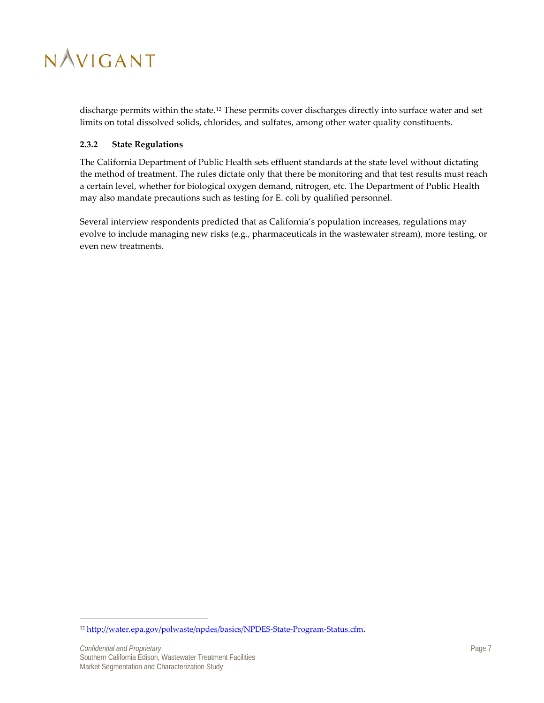

discharge permits within the state.<sup>[12](#page-13-1)</sup> These permits cover discharges directly into surface water and set limits on total dissolved solids, chlorides, and sulfates, among other water quality constituents.

#### <span id="page-13-0"></span>**2.3.2 State Regulations**

The California Department of Public Health sets effluent standards at the state level without dictating the method of treatment. The rules dictate only that there be monitoring and that test results must reach a certain level, whether for biological oxygen demand, nitrogen, etc. The Department of Public Health may also mandate precautions such as testing for E. coli by qualified personnel.

Several interview respondents predicted that as California's population increases, regulations may evolve to include managing new risks (e.g., pharmaceuticals in the wastewater stream), more testing, or even new treatments.

 $\overline{\phantom{a}}$ 

<span id="page-13-1"></span><sup>&</sup>lt;sup>12</sup> http://water.epa.gov/polwaste/npdes/basics/NPDES-State-Program-Status.cfm.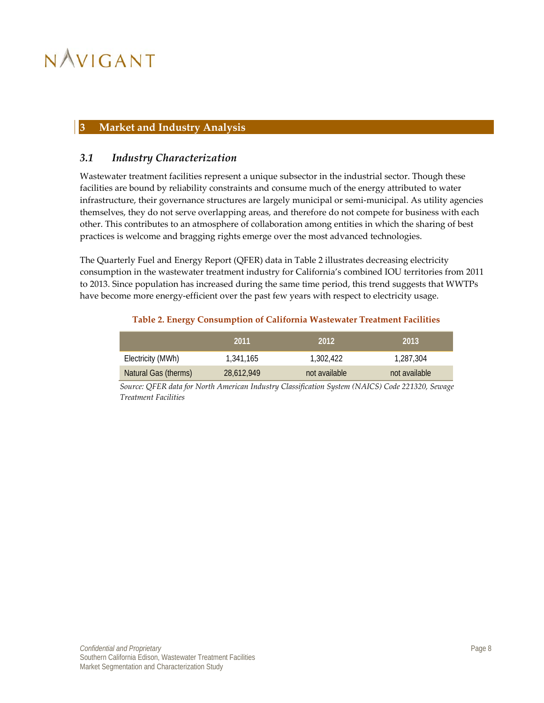### <span id="page-14-0"></span>**3 Market and Industry Analysis**

### <span id="page-14-1"></span>*3.1 Industry Characterization*

Wastewater treatment facilities represent a unique subsector in the industrial sector. Though these facilities are bound by reliability constraints and consume much of the energy attributed to water infrastructure, their governance structures are largely municipal or semi-municipal. As utility agencies themselves, they do not serve overlapping areas, and therefore do not compete for business with each other. This contributes to an atmosphere of collaboration among entities in which the sharing of best practices is welcome and bragging rights emerge over the most advanced technologies.

The Quarterly Fuel and Energy Report (QFER) data i[n Table 2](#page-14-2) illustrates decreasing electricity consumption in the wastewater treatment industry for California's combined IOU territories from 2011 to 2013. Since population has increased during the same time period, this trend suggests that WWTPs have become more energy-efficient over the past few years with respect to electricity usage.

### **Table 2. Energy Consumption of California Wastewater Treatment Facilities**

<span id="page-14-2"></span>

|                      | 2011       | 2012          | 2013          |
|----------------------|------------|---------------|---------------|
| Electricity (MWh)    | 1,341,165  | 1,302,422     | 1,287,304     |
| Natural Gas (therms) | 28,612,949 | not available | not available |

*Source: QFER data for North American Industry Classification System (NAICS) Code 221320, Sewage Treatment Facilities*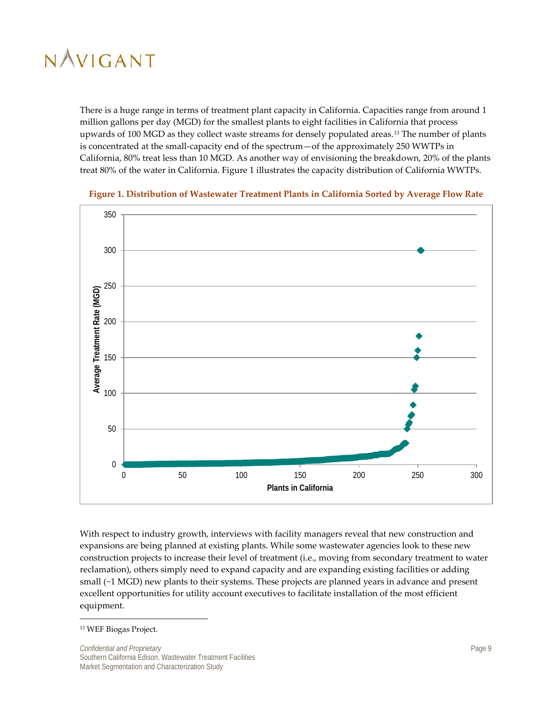There is a huge range in terms of treatment plant capacity in California. Capacities range from around 1 million gallons per day (MGD) for the smallest plants to eight facilities in California that process upwards of 100 MGD as they collect waste streams for densely populated areas.<sup>[13](#page-15-1)</sup> The number of plants is concentrated at the small-capacity end of the spectrum—of the approximately 250 WWTPs in California, 80% treat less than 10 MGD. As another way of envisioning the breakdown, 20% of the plants treat 80% of the water in California. [Figure 1](#page-15-0) illustrates the capacity distribution of California WWTPs.



<span id="page-15-0"></span>

With respect to industry growth, interviews with facility managers reveal that new construction and expansions are being planned at existing plants. While some wastewater agencies look to these new construction projects to increase their level of treatment (i.e., moving from secondary treatment to water reclamation), others simply need to expand capacity and are expanding existing facilities or adding small (~1 MGD) new plants to their systems. These projects are planned years in advance and present excellent opportunities for utility account executives to facilitate installation of the most efficient equipment.

 $\overline{\phantom{a}}$ 

<span id="page-15-1"></span><sup>13</sup> WEF Biogas Project.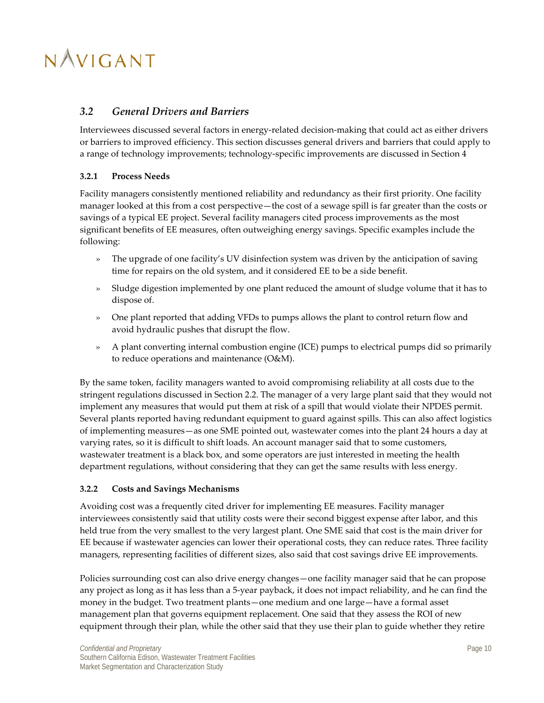### <span id="page-16-0"></span>*3.2 General Drivers and Barriers*

Interviewees discussed several factors in energy-related decision-making that could act as either drivers or barriers to improved efficiency. This section discusses general drivers and barriers that could apply to a range of technology improvements; technology-specific improvements are discussed in Section [4](#page-21-0)

### <span id="page-16-1"></span>**3.2.1 Process Needs**

Facility managers consistently mentioned reliability and redundancy as their first priority. One facility manager looked at this from a cost perspective—the cost of a sewage spill is far greater than the costs or savings of a typical EE project. Several facility managers cited process improvements as the most significant benefits of EE measures, often outweighing energy savings. Specific examples include the following:

- » The upgrade of one facility's UV disinfection system was driven by the anticipation of saving time for repairs on the old system, and it considered EE to be a side benefit.
- » Sludge digestion implemented by one plant reduced the amount of sludge volume that it has to dispose of.
- » One plant reported that adding VFDs to pumps allows the plant to control return flow and avoid hydraulic pushes that disrupt the flow.
- » A plant converting internal combustion engine (ICE) pumps to electrical pumps did so primarily to reduce operations and maintenance (O&M).

By the same token, facility managers wanted to avoid compromising reliability at all costs due to the stringent regulations discussed in Section [2.2.](#page-12-1) The manager of a very large plant said that they would not implement any measures that would put them at risk of a spill that would violate their NPDES permit. Several plants reported having redundant equipment to guard against spills. This can also affect logistics of implementing measures—as one SME pointed out, wastewater comes into the plant 24 hours a day at varying rates, so it is difficult to shift loads. An account manager said that to some customers, wastewater treatment is a black box, and some operators are just interested in meeting the health department regulations, without considering that they can get the same results with less energy.

### <span id="page-16-2"></span>**3.2.2 Costs and Savings Mechanisms**

Avoiding cost was a frequently cited driver for implementing EE measures. Facility manager interviewees consistently said that utility costs were their second biggest expense after labor, and this held true from the very smallest to the very largest plant. One SME said that cost is the main driver for EE because if wastewater agencies can lower their operational costs, they can reduce rates. Three facility managers, representing facilities of different sizes, also said that cost savings drive EE improvements.

Policies surrounding cost can also drive energy changes—one facility manager said that he can propose any project as long as it has less than a 5-year payback, it does not impact reliability, and he can find the money in the budget. Two treatment plants—one medium and one large—have a formal asset management plan that governs equipment replacement. One said that they assess the ROI of new equipment through their plan, while the other said that they use their plan to guide whether they retire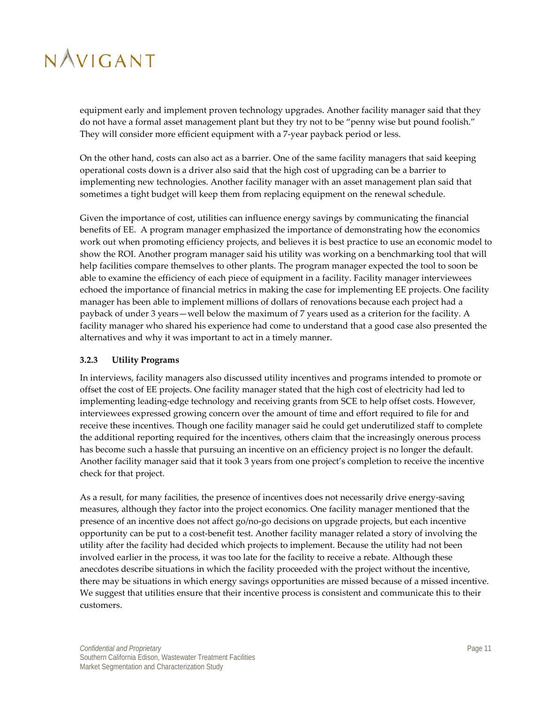equipment early and implement proven technology upgrades. Another facility manager said that they do not have a formal asset management plant but they try not to be "penny wise but pound foolish." They will consider more efficient equipment with a 7-year payback period or less.

On the other hand, costs can also act as a barrier. One of the same facility managers that said keeping operational costs down is a driver also said that the high cost of upgrading can be a barrier to implementing new technologies. Another facility manager with an asset management plan said that sometimes a tight budget will keep them from replacing equipment on the renewal schedule.

Given the importance of cost, utilities can influence energy savings by communicating the financial benefits of EE. A program manager emphasized the importance of demonstrating how the economics work out when promoting efficiency projects, and believes it is best practice to use an economic model to show the ROI. Another program manager said his utility was working on a benchmarking tool that will help facilities compare themselves to other plants. The program manager expected the tool to soon be able to examine the efficiency of each piece of equipment in a facility. Facility manager interviewees echoed the importance of financial metrics in making the case for implementing EE projects. One facility manager has been able to implement millions of dollars of renovations because each project had a payback of under 3 years—well below the maximum of 7 years used as a criterion for the facility. A facility manager who shared his experience had come to understand that a good case also presented the alternatives and why it was important to act in a timely manner.

### <span id="page-17-0"></span>**3.2.3 Utility Programs**

In interviews, facility managers also discussed utility incentives and programs intended to promote or offset the cost of EE projects. One facility manager stated that the high cost of electricity had led to implementing leading-edge technology and receiving grants from SCE to help offset costs. However, interviewees expressed growing concern over the amount of time and effort required to file for and receive these incentives. Though one facility manager said he could get underutilized staff to complete the additional reporting required for the incentives, others claim that the increasingly onerous process has become such a hassle that pursuing an incentive on an efficiency project is no longer the default. Another facility manager said that it took 3 years from one project's completion to receive the incentive check for that project.

As a result, for many facilities, the presence of incentives does not necessarily drive energy-saving measures, although they factor into the project economics. One facility manager mentioned that the presence of an incentive does not affect go/no-go decisions on upgrade projects, but each incentive opportunity can be put to a cost-benefit test. Another facility manager related a story of involving the utility after the facility had decided which projects to implement. Because the utility had not been involved earlier in the process, it was too late for the facility to receive a rebate. Although these anecdotes describe situations in which the facility proceeded with the project without the incentive, there may be situations in which energy savings opportunities are missed because of a missed incentive. We suggest that utilities ensure that their incentive process is consistent and communicate this to their customers.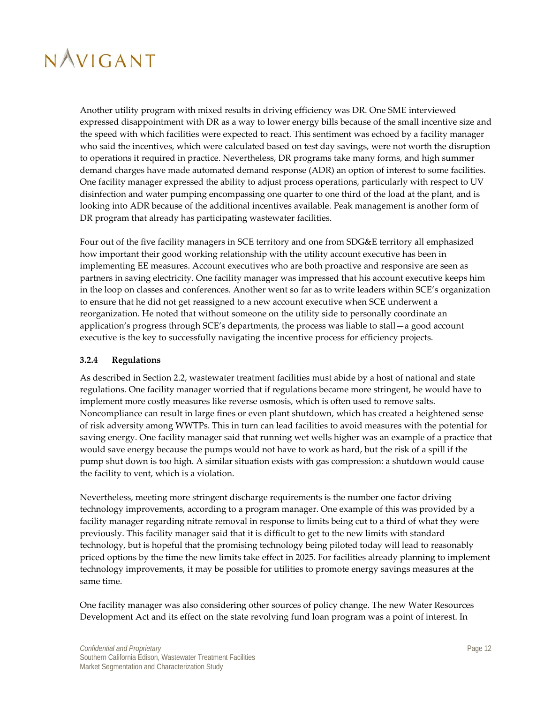Another utility program with mixed results in driving efficiency was DR. One SME interviewed expressed disappointment with DR as a way to lower energy bills because of the small incentive size and the speed with which facilities were expected to react. This sentiment was echoed by a facility manager who said the incentives, which were calculated based on test day savings, were not worth the disruption to operations it required in practice. Nevertheless, DR programs take many forms, and high summer demand charges have made automated demand response (ADR) an option of interest to some facilities. One facility manager expressed the ability to adjust process operations, particularly with respect to UV disinfection and water pumping encompassing one quarter to one third of the load at the plant, and is looking into ADR because of the additional incentives available. Peak management is another form of DR program that already has participating wastewater facilities.

Four out of the five facility managers in SCE territory and one from SDG&E territory all emphasized how important their good working relationship with the utility account executive has been in implementing EE measures. Account executives who are both proactive and responsive are seen as partners in saving electricity. One facility manager was impressed that his account executive keeps him in the loop on classes and conferences. Another went so far as to write leaders within SCE's organization to ensure that he did not get reassigned to a new account executive when SCE underwent a reorganization. He noted that without someone on the utility side to personally coordinate an application's progress through SCE's departments, the process was liable to stall—a good account executive is the key to successfully navigating the incentive process for efficiency projects.

### <span id="page-18-0"></span>**3.2.4 Regulations**

As described in Sectio[n 2.2,](#page-12-1) wastewater treatment facilities must abide by a host of national and state regulations. One facility manager worried that if regulations became more stringent, he would have to implement more costly measures like reverse osmosis, which is often used to remove salts. Noncompliance can result in large fines or even plant shutdown, which has created a heightened sense of risk adversity among WWTPs. This in turn can lead facilities to avoid measures with the potential for saving energy. One facility manager said that running wet wells higher was an example of a practice that would save energy because the pumps would not have to work as hard, but the risk of a spill if the pump shut down is too high. A similar situation exists with gas compression: a shutdown would cause the facility to vent, which is a violation.

Nevertheless, meeting more stringent discharge requirements is the number one factor driving technology improvements, according to a program manager. One example of this was provided by a facility manager regarding nitrate removal in response to limits being cut to a third of what they were previously. This facility manager said that it is difficult to get to the new limits with standard technology, but is hopeful that the promising technology being piloted today will lead to reasonably priced options by the time the new limits take effect in 2025. For facilities already planning to implement technology improvements, it may be possible for utilities to promote energy savings measures at the same time.

One facility manager was also considering other sources of policy change. The new Water Resources Development Act and its effect on the state revolving fund loan program was a point of interest. In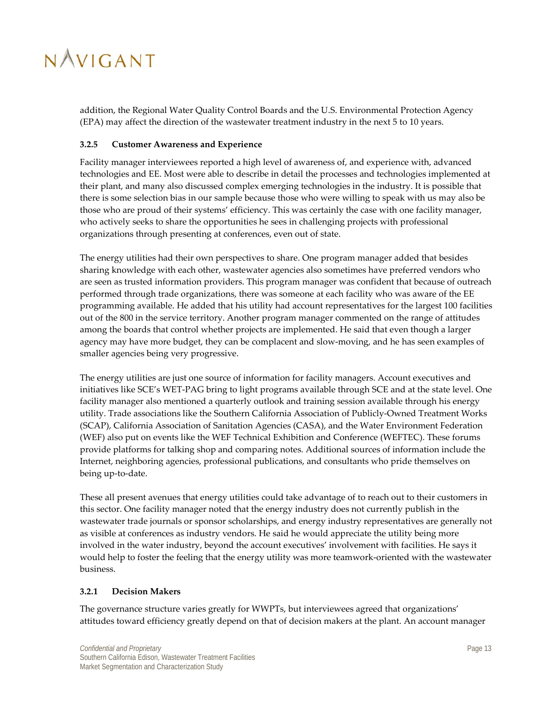addition, the Regional Water Quality Control Boards and the U.S. Environmental Protection Agency (EPA) may affect the direction of the wastewater treatment industry in the next 5 to 10 years.

### <span id="page-19-0"></span>**3.2.5 Customer Awareness and Experience**

Facility manager interviewees reported a high level of awareness of, and experience with, advanced technologies and EE. Most were able to describe in detail the processes and technologies implemented at their plant, and many also discussed complex emerging technologies in the industry. It is possible that there is some selection bias in our sample because those who were willing to speak with us may also be those who are proud of their systems' efficiency. This was certainly the case with one facility manager, who actively seeks to share the opportunities he sees in challenging projects with professional organizations through presenting at conferences, even out of state.

The energy utilities had their own perspectives to share. One program manager added that besides sharing knowledge with each other, wastewater agencies also sometimes have preferred vendors who are seen as trusted information providers. This program manager was confident that because of outreach performed through trade organizations, there was someone at each facility who was aware of the EE programming available. He added that his utility had account representatives for the largest 100 facilities out of the 800 in the service territory. Another program manager commented on the range of attitudes among the boards that control whether projects are implemented. He said that even though a larger agency may have more budget, they can be complacent and slow-moving, and he has seen examples of smaller agencies being very progressive.

The energy utilities are just one source of information for facility managers. Account executives and initiatives like SCE's WET-PAG bring to light programs available through SCE and at the state level. One facility manager also mentioned a quarterly outlook and training session available through his energy utility. Trade associations like the Southern California Association of Publicly-Owned Treatment Works (SCAP), California Association of Sanitation Agencies (CASA), and the Water Environment Federation (WEF) also put on events like the WEF Technical Exhibition and Conference (WEFTEC). These forums provide platforms for talking shop and comparing notes. Additional sources of information include the Internet, neighboring agencies, professional publications, and consultants who pride themselves on being up-to-date.

These all present avenues that energy utilities could take advantage of to reach out to their customers in this sector. One facility manager noted that the energy industry does not currently publish in the wastewater trade journals or sponsor scholarships, and energy industry representatives are generally not as visible at conferences as industry vendors. He said he would appreciate the utility being more involved in the water industry, beyond the account executives' involvement with facilities. He says it would help to foster the feeling that the energy utility was more teamwork-oriented with the wastewater business.

### <span id="page-19-1"></span>**3.2.1 Decision Makers**

The governance structure varies greatly for WWPTs, but interviewees agreed that organizations' attitudes toward efficiency greatly depend on that of decision makers at the plant. An account manager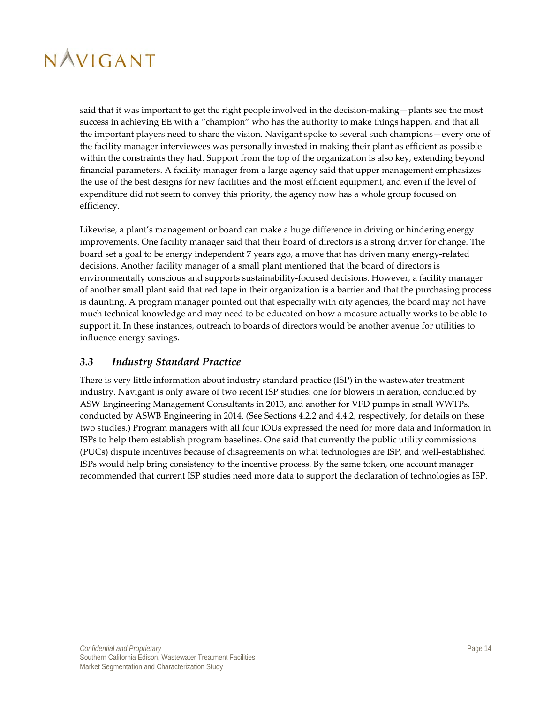said that it was important to get the right people involved in the decision-making—plants see the most success in achieving EE with a "champion" who has the authority to make things happen, and that all the important players need to share the vision. Navigant spoke to several such champions—every one of the facility manager interviewees was personally invested in making their plant as efficient as possible within the constraints they had. Support from the top of the organization is also key, extending beyond financial parameters. A facility manager from a large agency said that upper management emphasizes the use of the best designs for new facilities and the most efficient equipment, and even if the level of expenditure did not seem to convey this priority, the agency now has a whole group focused on efficiency.

Likewise, a plant's management or board can make a huge difference in driving or hindering energy improvements. One facility manager said that their board of directors is a strong driver for change. The board set a goal to be energy independent 7 years ago, a move that has driven many energy-related decisions. Another facility manager of a small plant mentioned that the board of directors is environmentally conscious and supports sustainability-focused decisions. However, a facility manager of another small plant said that red tape in their organization is a barrier and that the purchasing process is daunting. A program manager pointed out that especially with city agencies, the board may not have much technical knowledge and may need to be educated on how a measure actually works to be able to support it. In these instances, outreach to boards of directors would be another avenue for utilities to influence energy savings.

### <span id="page-20-0"></span>*3.3 Industry Standard Practice*

There is very little information about industry standard practice (ISP) in the wastewater treatment industry. Navigant is only aware of two recent ISP studies: one for blowers in aeration, conducted by ASW Engineering Management Consultants in 2013, and another for VFD pumps in small WWTPs, conducted by ASWB Engineering in 2014. (See Sections [4.2.2](#page-26-0) and [4.4.2,](#page-31-2) respectively, for details on these two studies.) Program managers with all four IOUs expressed the need for more data and information in ISPs to help them establish program baselines. One said that currently the public utility commissions (PUCs) dispute incentives because of disagreements on what technologies are ISP, and well-established ISPs would help bring consistency to the incentive process. By the same token, one account manager recommended that current ISP studies need more data to support the declaration of technologies as ISP.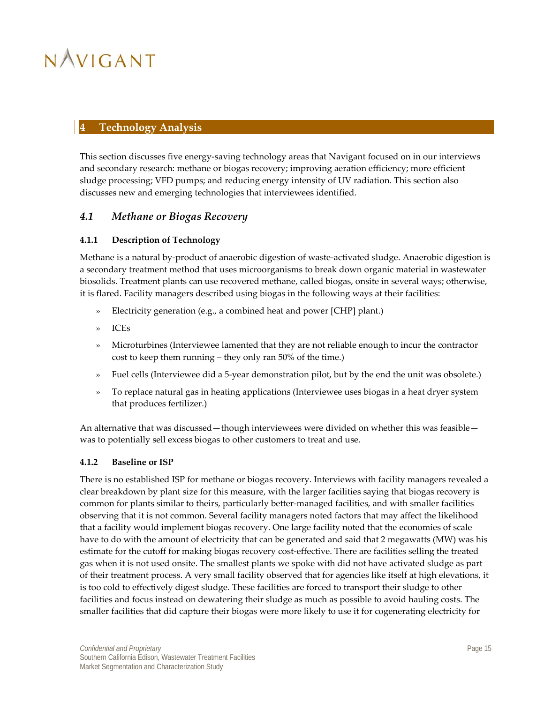### <span id="page-21-0"></span>**4 Technology Analysis**

This section discusses five energy-saving technology areas that Navigant focused on in our interviews and secondary research: methane or biogas recovery; improving aeration efficiency; more efficient sludge processing; VFD pumps; and reducing energy intensity of UV radiation. This section also discusses new and emerging technologies that interviewees identified.

### <span id="page-21-1"></span>*4.1 Methane or Biogas Recovery*

### <span id="page-21-2"></span>**4.1.1 Description of Technology**

Methane is a natural by-product of anaerobic digestion of waste-activated sludge. Anaerobic digestion is a secondary treatment method that uses microorganisms to break down organic material in wastewater biosolids. Treatment plants can use recovered methane, called biogas, onsite in several ways; otherwise, it is flared. Facility managers described using biogas in the following ways at their facilities:

- » Electricity generation (e.g., a combined heat and power [CHP] plant.)
- » ICEs
- » Microturbines (Interviewee lamented that they are not reliable enough to incur the contractor cost to keep them running – they only ran 50% of the time.)
- » Fuel cells (Interviewee did a 5-year demonstration pilot, but by the end the unit was obsolete.)
- » To replace natural gas in heating applications (Interviewee uses biogas in a heat dryer system that produces fertilizer.)

An alternative that was discussed—though interviewees were divided on whether this was feasible was to potentially sell excess biogas to other customers to treat and use.

#### <span id="page-21-3"></span>**4.1.2 Baseline or ISP**

There is no established ISP for methane or biogas recovery. Interviews with facility managers revealed a clear breakdown by plant size for this measure, with the larger facilities saying that biogas recovery is common for plants similar to theirs, particularly better-managed facilities, and with smaller facilities observing that it is not common. Several facility managers noted factors that may affect the likelihood that a facility would implement biogas recovery. One large facility noted that the economies of scale have to do with the amount of electricity that can be generated and said that 2 megawatts (MW) was his estimate for the cutoff for making biogas recovery cost-effective. There are facilities selling the treated gas when it is not used onsite. The smallest plants we spoke with did not have activated sludge as part of their treatment process. A very small facility observed that for agencies like itself at high elevations, it is too cold to effectively digest sludge. These facilities are forced to transport their sludge to other facilities and focus instead on dewatering their sludge as much as possible to avoid hauling costs. The smaller facilities that did capture their biogas were more likely to use it for cogenerating electricity for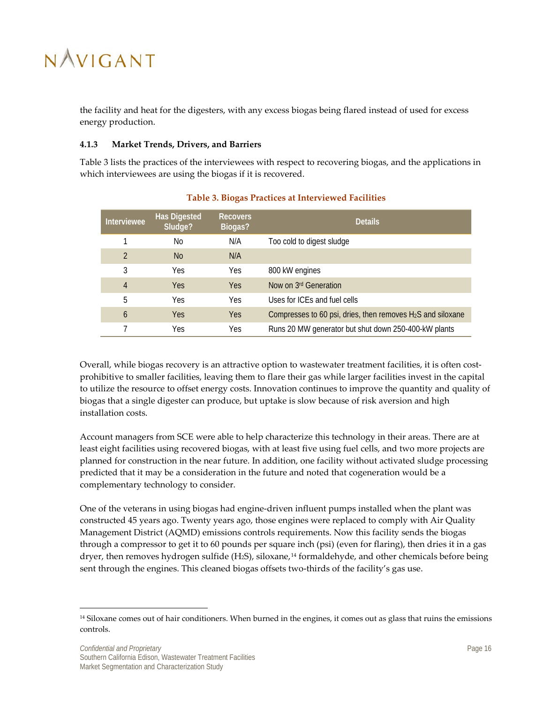the facility and heat for the digesters, with any excess biogas being flared instead of used for excess energy production.

#### <span id="page-22-0"></span>**4.1.3 Market Trends, Drivers, and Barriers**

[Table 3](#page-22-1) lists the practices of the interviewees with respect to recovering biogas, and the applications in which interviewees are using the biogas if it is recovered.

<span id="page-22-1"></span>

| Interviewee    | <b>Has Digested</b><br>Sludge? | <b>Recovers</b><br>Biogas? | <b>Details</b>                                                |
|----------------|--------------------------------|----------------------------|---------------------------------------------------------------|
|                | No                             | N/A                        | Too cold to digest sludge                                     |
| $\mathcal{P}$  | N <sub>0</sub>                 | N/A                        |                                                               |
| 3              | Yes                            | Yes                        | 800 kW engines                                                |
| $\overline{4}$ | <b>Yes</b>                     | <b>Yes</b>                 | Now on 3rd Generation                                         |
| 5              | Yes                            | Yes                        | Uses for ICEs and fuel cells                                  |
| 6              | <b>Yes</b>                     | <b>Yes</b>                 | Compresses to 60 psi, dries, then removes $H_2S$ and siloxane |
|                | Yes                            | Yes                        | Runs 20 MW generator but shut down 250-400-kW plants          |

### **Table 3. Biogas Practices at Interviewed Facilities**

Overall, while biogas recovery is an attractive option to wastewater treatment facilities, it is often costprohibitive to smaller facilities, leaving them to flare their gas while larger facilities invest in the capital to utilize the resource to offset energy costs. Innovation continues to improve the quantity and quality of biogas that a single digester can produce, but uptake is slow because of risk aversion and high installation costs.

Account managers from SCE were able to help characterize this technology in their areas. There are at least eight facilities using recovered biogas, with at least five using fuel cells, and two more projects are planned for construction in the near future. In addition, one facility without activated sludge processing predicted that it may be a consideration in the future and noted that cogeneration would be a complementary technology to consider.

One of the veterans in using biogas had engine-driven influent pumps installed when the plant was constructed 45 years ago. Twenty years ago, those engines were replaced to comply with Air Quality Management District (AQMD) emissions controls requirements. Now this facility sends the biogas through a compressor to get it to 60 pounds per square inch (psi) (even for flaring), then dries it in a gas dryer, then removes hydrogen sulfide (H<sub>2</sub>S), siloxane,<sup>[14](#page-22-2)</sup> formaldehyde, and other chemicals before being sent through the engines. This cleaned biogas offsets two-thirds of the facility's gas use.

 $\overline{a}$ 

<span id="page-22-2"></span><sup>&</sup>lt;sup>14</sup> Siloxane comes out of hair conditioners. When burned in the engines, it comes out as glass that ruins the emissions controls.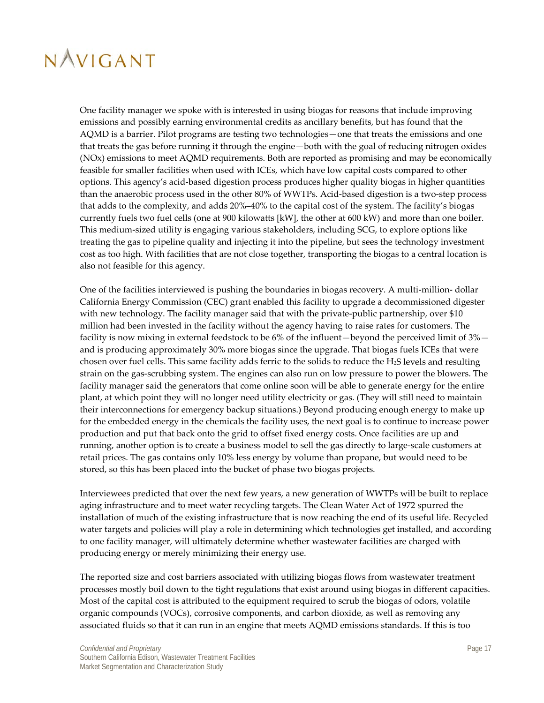One facility manager we spoke with is interested in using biogas for reasons that include improving emissions and possibly earning environmental credits as ancillary benefits, but has found that the AQMD is a barrier. Pilot programs are testing two technologies—one that treats the emissions and one that treats the gas before running it through the engine—both with the goal of reducing nitrogen oxides (NOx) emissions to meet AQMD requirements. Both are reported as promising and may be economically feasible for smaller facilities when used with ICEs, which have low capital costs compared to other options. This agency's acid-based digestion process produces higher quality biogas in higher quantities than the anaerobic process used in the other 80% of WWTPs. Acid-based digestion is a two-step process that adds to the complexity, and adds 20%–40% to the capital cost of the system. The facility's biogas currently fuels two fuel cells (one at 900 kilowatts [kW], the other at 600 kW) and more than one boiler. This medium-sized utility is engaging various stakeholders, including SCG, to explore options like treating the gas to pipeline quality and injecting it into the pipeline, but sees the technology investment cost as too high. With facilities that are not close together, transporting the biogas to a central location is also not feasible for this agency.

One of the facilities interviewed is pushing the boundaries in biogas recovery. A multi-million- dollar California Energy Commission (CEC) grant enabled this facility to upgrade a decommissioned digester with new technology. The facility manager said that with the private-public partnership, over \$10 million had been invested in the facility without the agency having to raise rates for customers. The facility is now mixing in external feedstock to be 6% of the influent—beyond the perceived limit of 3% and is producing approximately 30% more biogas since the upgrade. That biogas fuels ICEs that were chosen over fuel cells. This same facility adds ferric to the solids to reduce the H2S levels and resulting strain on the gas-scrubbing system. The engines can also run on low pressure to power the blowers. The facility manager said the generators that come online soon will be able to generate energy for the entire plant, at which point they will no longer need utility electricity or gas. (They will still need to maintain their interconnections for emergency backup situations.) Beyond producing enough energy to make up for the embedded energy in the chemicals the facility uses, the next goal is to continue to increase power production and put that back onto the grid to offset fixed energy costs. Once facilities are up and running, another option is to create a business model to sell the gas directly to large-scale customers at retail prices. The gas contains only 10% less energy by volume than propane, but would need to be stored, so this has been placed into the bucket of phase two biogas projects.

Interviewees predicted that over the next few years, a new generation of WWTPs will be built to replace aging infrastructure and to meet water recycling targets. The Clean Water Act of 1972 spurred the installation of much of the existing infrastructure that is now reaching the end of its useful life. Recycled water targets and policies will play a role in determining which technologies get installed, and according to one facility manager, will ultimately determine whether wastewater facilities are charged with producing energy or merely minimizing their energy use.

The reported size and cost barriers associated with utilizing biogas flows from wastewater treatment processes mostly boil down to the tight regulations that exist around using biogas in different capacities. Most of the capital cost is attributed to the equipment required to scrub the biogas of odors, volatile organic compounds (VOCs), corrosive components, and carbon dioxide, as well as removing any associated fluids so that it can run in an engine that meets AQMD emissions standards. If this is too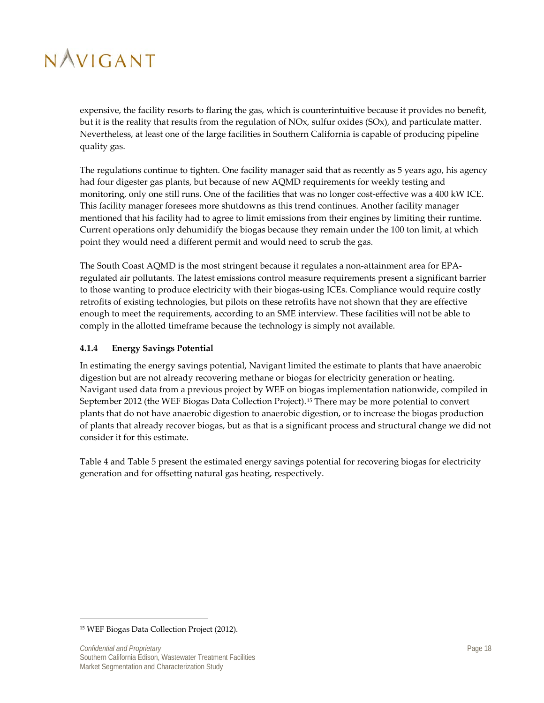expensive, the facility resorts to flaring the gas, which is counterintuitive because it provides no benefit, but it is the reality that results from the regulation of NOx, sulfur oxides (SOx), and particulate matter. Nevertheless, at least one of the large facilities in Southern California is capable of producing pipeline quality gas.

The regulations continue to tighten. One facility manager said that as recently as 5 years ago, his agency had four digester gas plants, but because of new AQMD requirements for weekly testing and monitoring, only one still runs. One of the facilities that was no longer cost-effective was a 400 kW ICE. This facility manager foresees more shutdowns as this trend continues. Another facility manager mentioned that his facility had to agree to limit emissions from their engines by limiting their runtime. Current operations only dehumidify the biogas because they remain under the 100 ton limit, at which point they would need a different permit and would need to scrub the gas.

The South Coast AQMD is the most stringent because it regulates a non-attainment area for EPAregulated air pollutants. The latest emissions control measure requirements present a significant barrier to those wanting to produce electricity with their biogas-using ICEs. Compliance would require costly retrofits of existing technologies, but pilots on these retrofits have not shown that they are effective enough to meet the requirements, according to an SME interview. These facilities will not be able to comply in the allotted timeframe because the technology is simply not available.

### <span id="page-24-0"></span>**4.1.4 Energy Savings Potential**

In estimating the energy savings potential, Navigant limited the estimate to plants that have anaerobic digestion but are not already recovering methane or biogas for electricity generation or heating. Navigant used data from a previous project by WEF on biogas implementation nationwide, compiled in September 2012 (the WEF Biogas Data Collection Project).<sup>[15](#page-24-1)</sup> There may be more potential to convert plants that do not have anaerobic digestion to anaerobic digestion, or to increase the biogas production of plants that already recover biogas, but as that is a significant process and structural change we did not consider it for this estimate.

[Table 4](#page-25-2) and [Table 5](#page-25-3) present the estimated energy savings potential for recovering biogas for electricity generation and for offsetting natural gas heating, respectively.

 $\overline{\phantom{a}}$ 

<span id="page-24-1"></span><sup>15</sup> WEF Biogas Data Collection Project (2012).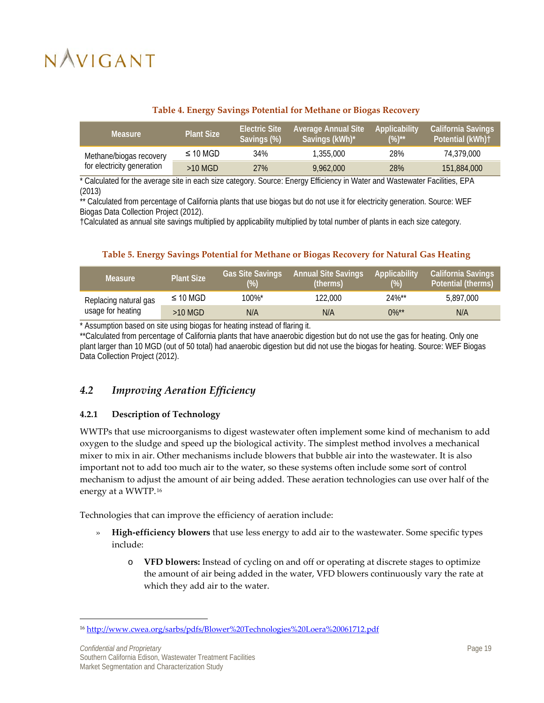<span id="page-25-2"></span>

| <b>Measure</b>             | <b>Plant Size</b> | <b>Electric Site</b><br>Savings (%) | <b>Average Annual Site</b><br>Savings (kWh)* | Applicability<br>$(%)^{**}$ | California Savings<br>Potential (kWh)+ |
|----------------------------|-------------------|-------------------------------------|----------------------------------------------|-----------------------------|----------------------------------------|
| Methane/biogas recovery    | $\leq$ 10 MGD     | 34%                                 | 1,355,000                                    | 28%                         | 74.379.000                             |
| for electricity generation | $>10$ MGD         | 27%                                 | 9.962.000                                    | 28%                         | 151,884,000                            |

### **Table 4. Energy Savings Potential for Methane or Biogas Recovery**

\* Calculated for the average site in each size category. Source: Energy Efficiency in Water and Wastewater Facilities, EPA (2013)

\*\* Calculated from percentage of California plants that use biogas but do not use it for electricity generation. Source: WEF Biogas Data Collection Project (2012).

†Calculated as annual site savings multiplied by applicability multiplied by total number of plants in each size category.

### **Table 5. Energy Savings Potential for Methane or Biogas Recovery for Natural Gas Heating**

<span id="page-25-3"></span>

| <b>Measure</b>        | <b>Plant Size</b> | <b>Gas Site Savings</b><br>(%) | Annual Site Savings<br>(therms) | Applicability<br>$(\%)$ | <b>California Savings</b><br>Potential (therms) |
|-----------------------|-------------------|--------------------------------|---------------------------------|-------------------------|-------------------------------------------------|
| Replacing natural gas | $\leq$ 10 MGD     | 100%*                          | 122.000                         | $24\%$ **               | 5.897.000                                       |
| usage for heating     | $>10$ MGD         | N/A                            | N/A                             | $0\%$ <sup>**</sup>     | N/A                                             |

\* Assumption based on site using biogas for heating instead of flaring it.

\*\*Calculated from percentage of California plants that have anaerobic digestion but do not use the gas for heating. Only one plant larger than 10 MGD (out of 50 total) had anaerobic digestion but did not use the biogas for heating. Source: WEF Biogas Data Collection Project (2012).

### <span id="page-25-0"></span>*4.2 Improving Aeration Efficiency*

### <span id="page-25-1"></span>**4.2.1 Description of Technology**

WWTPs that use microorganisms to digest wastewater often implement some kind of mechanism to add oxygen to the sludge and speed up the biological activity. The simplest method involves a mechanical mixer to mix in air. Other mechanisms include blowers that bubble air into the wastewater. It is also important not to add too much air to the water, so these systems often include some sort of control mechanism to adjust the amount of air being added. These aeration technologies can use over half of the energy at a WWTP.[16](#page-25-4)

Technologies that can improve the efficiency of aeration include:

- » **High-efficiency blowers** that use less energy to add air to the wastewater. Some specific types include:
	- o **VFD blowers:** Instead of cycling on and off or operating at discrete stages to optimize the amount of air being added in the water, VFD blowers continuously vary the rate at which they add air to the water.

 $\overline{\phantom{a}}$ 

<span id="page-25-4"></span><sup>16</sup> <http://www.cwea.org/sarbs/pdfs/Blower%20Technologies%20Loera%20061712.pdf>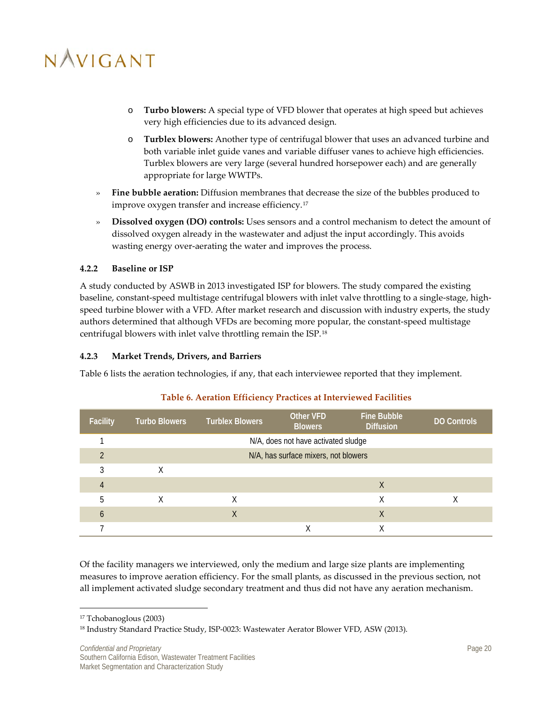- o **Turbo blowers:** A special type of VFD blower that operates at high speed but achieves very high efficiencies due to its advanced design.
- o **Turblex blowers:** Another type of centrifugal blower that uses an advanced turbine and both variable inlet guide vanes and variable diffuser vanes to achieve high efficiencies. Turblex blowers are very large (several hundred horsepower each) and are generally appropriate for large WWTPs.
- » **Fine bubble aeration:** Diffusion membranes that decrease the size of the bubbles produced to improve oxygen transfer and increase efficiency.[17](#page-26-3)
- » **Dissolved oxygen (DO) controls:** Uses sensors and a control mechanism to detect the amount of dissolved oxygen already in the wastewater and adjust the input accordingly. This avoids wasting energy over-aerating the water and improves the process.

### <span id="page-26-0"></span>**4.2.2 Baseline or ISP**

A study conducted by ASWB in 2013 investigated ISP for blowers. The study compared the existing baseline, constant-speed multistage centrifugal blowers with inlet valve throttling to a single-stage, highspeed turbine blower with a VFD. After market research and discussion with industry experts, the study authors determined that although VFDs are becoming more popular, the constant-speed multistage centrifugal blowers with inlet valve throttling remain the ISP.[18](#page-26-4)

### <span id="page-26-1"></span>**4.2.3 Market Trends, Drivers, and Barriers**

[Table 6](#page-26-2) lists the aeration technologies, if any, that each interviewee reported that they implement.

<span id="page-26-2"></span>

| <b>Facility</b> | <b>Turbo Blowers</b> | <b>Turblex Blowers</b> | Other VFD<br><b>Blowers</b>          | <b>Fine Bubble</b><br><b>Diffusion</b> | DO Controls |
|-----------------|----------------------|------------------------|--------------------------------------|----------------------------------------|-------------|
|                 |                      |                        | N/A, does not have activated sludge  |                                        |             |
|                 |                      |                        | N/A, has surface mixers, not blowers |                                        |             |
|                 | Χ                    |                        |                                      |                                        |             |
| 4               |                      |                        |                                      | X                                      |             |
| 5               | Χ                    | Χ                      |                                      | Χ                                      |             |
| h               |                      | X                      |                                      | X                                      |             |
|                 |                      |                        | $\checkmark$                         | $\checkmark$                           |             |

### **Table 6. Aeration Efficiency Practices at Interviewed Facilities**

Of the facility managers we interviewed, only the medium and large size plants are implementing measures to improve aeration efficiency. For the small plants, as discussed in the previous section, not all implement activated sludge secondary treatment and thus did not have any aeration mechanism.

 $\overline{a}$ 

<span id="page-26-3"></span><sup>17</sup> Tchobanoglous (2003)

<span id="page-26-4"></span><sup>18</sup> Industry Standard Practice Study, ISP-0023: Wastewater Aerator Blower VFD, ASW (2013).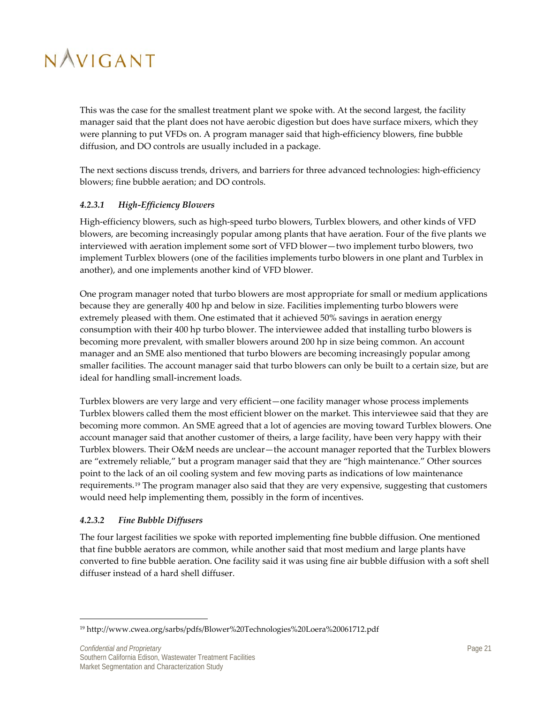This was the case for the smallest treatment plant we spoke with. At the second largest, the facility manager said that the plant does not have aerobic digestion but does have surface mixers, which they were planning to put VFDs on. A program manager said that high-efficiency blowers, fine bubble diffusion, and DO controls are usually included in a package.

The next sections discuss trends, drivers, and barriers for three advanced technologies: high-efficiency blowers; fine bubble aeration; and DO controls.

### *4.2.3.1 High-Efficiency Blowers*

High-efficiency blowers, such as high-speed turbo blowers, Turblex blowers, and other kinds of VFD blowers, are becoming increasingly popular among plants that have aeration. Four of the five plants we interviewed with aeration implement some sort of VFD blower—two implement turbo blowers, two implement Turblex blowers (one of the facilities implements turbo blowers in one plant and Turblex in another), and one implements another kind of VFD blower.

One program manager noted that turbo blowers are most appropriate for small or medium applications because they are generally 400 hp and below in size. Facilities implementing turbo blowers were extremely pleased with them. One estimated that it achieved 50% savings in aeration energy consumption with their 400 hp turbo blower. The interviewee added that installing turbo blowers is becoming more prevalent, with smaller blowers around 200 hp in size being common. An account manager and an SME also mentioned that turbo blowers are becoming increasingly popular among smaller facilities. The account manager said that turbo blowers can only be built to a certain size, but are ideal for handling small-increment loads.

Turblex blowers are very large and very efficient—one facility manager whose process implements Turblex blowers called them the most efficient blower on the market. This interviewee said that they are becoming more common. An SME agreed that a lot of agencies are moving toward Turblex blowers. One account manager said that another customer of theirs, a large facility, have been very happy with their Turblex blowers. Their O&M needs are unclear—the account manager reported that the Turblex blowers are "extremely reliable," but a program manager said that they are "high maintenance." Other sources point to the lack of an oil cooling system and few moving parts as indications of low maintenance requirements.<sup>[19](#page-27-0)</sup> The program manager also said that they are very expensive, suggesting that customers would need help implementing them, possibly in the form of incentives.

### *4.2.3.2 Fine Bubble Diffusers*

 $\overline{\phantom{a}}$ 

The four largest facilities we spoke with reported implementing fine bubble diffusion. One mentioned that fine bubble aerators are common, while another said that most medium and large plants have converted to fine bubble aeration. One facility said it was using fine air bubble diffusion with a soft shell diffuser instead of a hard shell diffuser.

<span id="page-27-0"></span><sup>19</sup> http://www.cwea.org/sarbs/pdfs/Blower%20Technologies%20Loera%20061712.pdf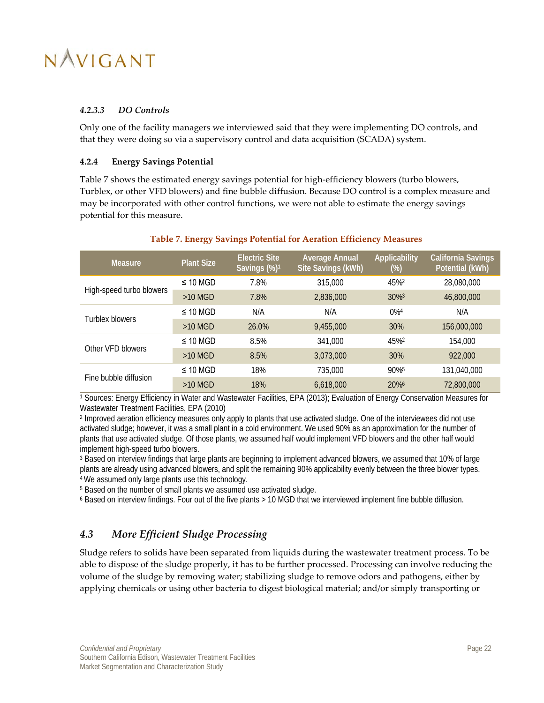### *4.2.3.3 DO Controls*

Only one of the facility managers we interviewed said that they were implementing DO controls, and that they were doing so via a supervisory control and data acquisition (SCADA) system.

### <span id="page-28-0"></span>**4.2.4 Energy Savings Potential**

[Table 7](#page-28-2) shows the estimated energy savings potential for high-efficiency blowers (turbo blowers, Turblex, or other VFD blowers) and fine bubble diffusion. Because DO control is a complex measure and may be incorporated with other control functions, we were not able to estimate the energy savings potential for this measure.

<span id="page-28-2"></span>

| Measure.                 | <b>Plant Size</b> | <b>Electric Site</b><br>Savings (%) <sup>1</sup> | <b>Average Annual</b><br>Site Savings (kWh) | Applicability<br>(%) | <b>California Savings</b><br>Potential (kWh) |
|--------------------------|-------------------|--------------------------------------------------|---------------------------------------------|----------------------|----------------------------------------------|
| High-speed turbo blowers | $\leq$ 10 MGD     | 7.8%                                             | 315,000                                     | 45%2                 | 28,080,000                                   |
|                          | $>10$ MGD         | 7.8%                                             | 2,836,000                                   | $30\%$ <sup>3</sup>  | 46,800,000                                   |
| Turblex blowers          | $\leq$ 10 MGD     | N/A                                              | N/A                                         | $0\%4$               | N/A                                          |
|                          | $>10$ MGD         | 26.0%                                            | 9,455,000                                   | 30%                  | 156,000,000                                  |
| Other VFD blowers        | $\leq$ 10 MGD     | 8.5%                                             | 341,000                                     | 45% <sup>2</sup>     | 154,000                                      |
|                          | $>10$ MGD         | 8.5%                                             | 3,073,000                                   | 30%                  | 922,000                                      |
| Fine bubble diffusion    | $\leq$ 10 MGD     | 18%                                              | 735,000                                     | 90%                  | 131,040,000                                  |
|                          | $>10$ MGD         | 18%                                              | 6,618,000                                   | 20%                  | 72,800,000                                   |

#### **Table 7. Energy Savings Potential for Aeration Efficiency Measures**

<sup>1</sup> Sources: Energy Efficiency in Water and Wastewater Facilities, EPA (2013); Evaluation of Energy Conservation Measures for Wastewater Treatment Facilities, EPA (2010)

<sup>2</sup> Improved aeration efficiency measures only apply to plants that use activated sludge. One of the interviewees did not use activated sludge; however, it was a small plant in a cold environment. We used 90% as an approximation for the number of plants that use activated sludge. Of those plants, we assumed half would implement VFD blowers and the other half would implement high-speed turbo blowers.

<sup>3</sup> Based on interview findings that large plants are beginning to implement advanced blowers, we assumed that 10% of large plants are already using advanced blowers, and split the remaining 90% applicability evenly between the three blower types. 4 We assumed only large plants use this technology.

<sup>5</sup> Based on the number of small plants we assumed use activated sludge.

 $6$  Based on interview findings. Four out of the five plants  $> 10$  MGD that we interviewed implement fine bubble diffusion.

### <span id="page-28-1"></span>*4.3 More Efficient Sludge Processing*

Sludge refers to solids have been separated from liquids during the wastewater treatment process. To be able to dispose of the sludge properly, it has to be further processed. Processing can involve reducing the volume of the sludge by removing water; stabilizing sludge to remove odors and pathogens, either by applying chemicals or using other bacteria to digest biological material; and/or simply transporting or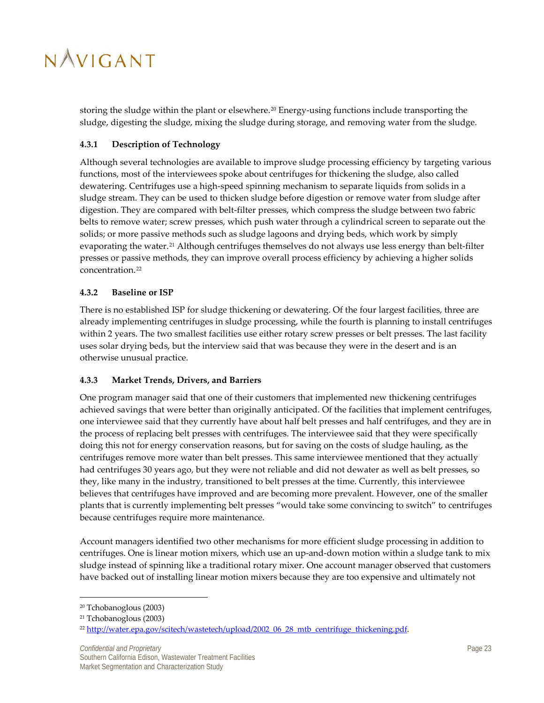storing the sludge within the plant or elsewhere.<sup>[20](#page-29-3)</sup> Energy-using functions include transporting the sludge, digesting the sludge, mixing the sludge during storage, and removing water from the sludge.

### <span id="page-29-0"></span>**4.3.1 Description of Technology**

Although several technologies are available to improve sludge processing efficiency by targeting various functions, most of the interviewees spoke about centrifuges for thickening the sludge, also called dewatering. Centrifuges use a high-speed spinning mechanism to separate liquids from solids in a sludge stream. They can be used to thicken sludge before digestion or remove water from sludge after digestion. They are compared with belt-filter presses, which compress the sludge between two fabric belts to remove water; screw presses, which push water through a cylindrical screen to separate out the solids; or more passive methods such as sludge lagoons and drying beds, which work by simply evaporating the water.<sup>[21](#page-29-4)</sup> Although centrifuges themselves do not always use less energy than belt-filter presses or passive methods, they can improve overall process efficiency by achieving a higher solids concentration.[22](#page-29-5)

### <span id="page-29-1"></span>**4.3.2 Baseline or ISP**

There is no established ISP for sludge thickening or dewatering. Of the four largest facilities, three are already implementing centrifuges in sludge processing, while the fourth is planning to install centrifuges within 2 years. The two smallest facilities use either rotary screw presses or belt presses. The last facility uses solar drying beds, but the interview said that was because they were in the desert and is an otherwise unusual practice.

### <span id="page-29-2"></span>**4.3.3 Market Trends, Drivers, and Barriers**

One program manager said that one of their customers that implemented new thickening centrifuges achieved savings that were better than originally anticipated. Of the facilities that implement centrifuges, one interviewee said that they currently have about half belt presses and half centrifuges, and they are in the process of replacing belt presses with centrifuges. The interviewee said that they were specifically doing this not for energy conservation reasons, but for saving on the costs of sludge hauling, as the centrifuges remove more water than belt presses. This same interviewee mentioned that they actually had centrifuges 30 years ago, but they were not reliable and did not dewater as well as belt presses, so they, like many in the industry, transitioned to belt presses at the time. Currently, this interviewee believes that centrifuges have improved and are becoming more prevalent. However, one of the smaller plants that is currently implementing belt presses "would take some convincing to switch" to centrifuges because centrifuges require more maintenance.

Account managers identified two other mechanisms for more efficient sludge processing in addition to centrifuges. One is linear motion mixers, which use an up-and-down motion within a sludge tank to mix sludge instead of spinning like a traditional rotary mixer. One account manager observed that customers have backed out of installing linear motion mixers because they are too expensive and ultimately not

 $\overline{a}$ 

<span id="page-29-3"></span><sup>20</sup> Tchobanoglous (2003)

<span id="page-29-4"></span><sup>21</sup> Tchobanoglous (2003)

<span id="page-29-5"></span><sup>&</sup>lt;sup>22</sup> http://water.epa.gov/scitech/wastetech/upload/2002\_06\_28\_mtb\_centrifuge\_thickening.pdf.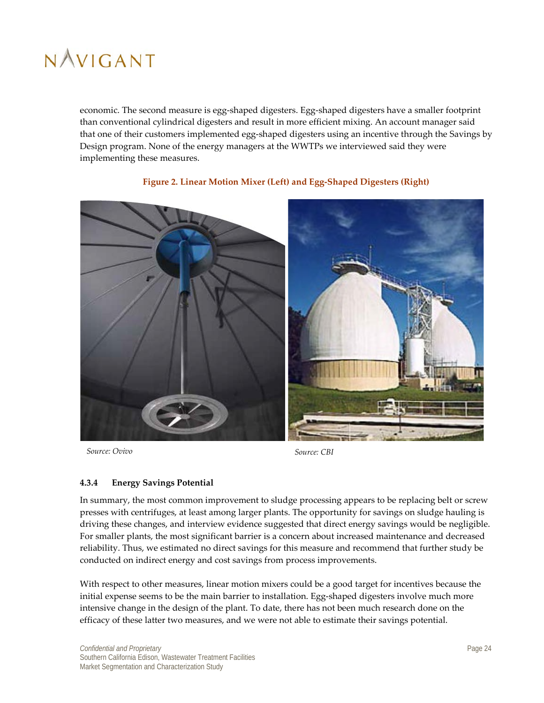economic. The second measure is egg-shaped digesters. Egg-shaped digesters have a smaller footprint than conventional cylindrical digesters and result in more efficient mixing. An account manager said that one of their customers implemented egg-shaped digesters using an incentive through the Savings by Design program. None of the energy managers at the WWTPs we interviewed said they were implementing these measures.

<span id="page-30-1"></span>

### **Figure 2. Linear Motion Mixer (Left) and Egg-Shaped Digesters (Right)**

*Source: Ovivo Source: CBI*

### <span id="page-30-0"></span>**4.3.4 Energy Savings Potential**

In summary, the most common improvement to sludge processing appears to be replacing belt or screw presses with centrifuges, at least among larger plants. The opportunity for savings on sludge hauling is driving these changes, and interview evidence suggested that direct energy savings would be negligible. For smaller plants, the most significant barrier is a concern about increased maintenance and decreased reliability. Thus, we estimated no direct savings for this measure and recommend that further study be conducted on indirect energy and cost savings from process improvements.

With respect to other measures, linear motion mixers could be a good target for incentives because the initial expense seems to be the main barrier to installation. Egg-shaped digesters involve much more intensive change in the design of the plant. To date, there has not been much research done on the efficacy of these latter two measures, and we were not able to estimate their savings potential.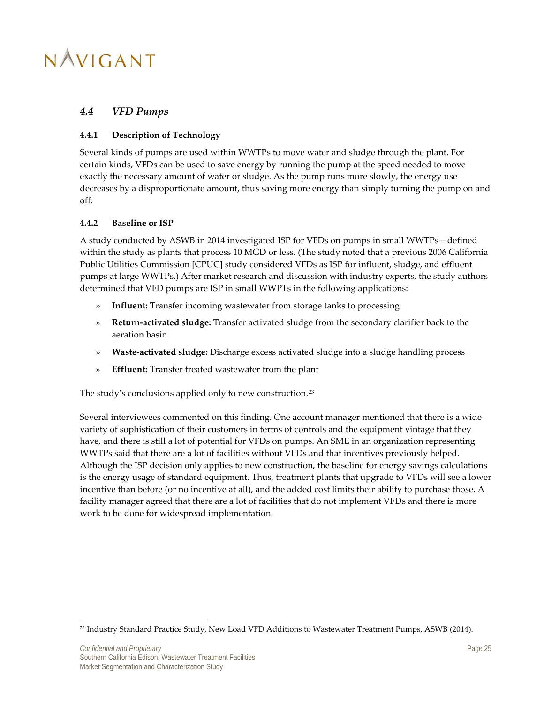### <span id="page-31-0"></span>*4.4 VFD Pumps*

### <span id="page-31-1"></span>**4.4.1 Description of Technology**

Several kinds of pumps are used within WWTPs to move water and sludge through the plant. For certain kinds, VFDs can be used to save energy by running the pump at the speed needed to move exactly the necessary amount of water or sludge. As the pump runs more slowly, the energy use decreases by a disproportionate amount, thus saving more energy than simply turning the pump on and off.

### <span id="page-31-2"></span>**4.4.2 Baseline or ISP**

A study conducted by ASWB in 2014 investigated ISP for VFDs on pumps in small WWTPs—defined within the study as plants that process 10 MGD or less. (The study noted that a previous 2006 California Public Utilities Commission [CPUC] study considered VFDs as ISP for influent, sludge, and effluent pumps at large WWTPs.) After market research and discussion with industry experts, the study authors determined that VFD pumps are ISP in small WWPTs in the following applications:

- » **Influent:** Transfer incoming wastewater from storage tanks to processing
- » **Return-activated sludge:** Transfer activated sludge from the secondary clarifier back to the aeration basin
- » **Waste-activated sludge:** Discharge excess activated sludge into a sludge handling process
- » **Effluent:** Transfer treated wastewater from the plant

The study's conclusions applied only to new construction.<sup>[23](#page-31-3)</sup>

Several interviewees commented on this finding. One account manager mentioned that there is a wide variety of sophistication of their customers in terms of controls and the equipment vintage that they have, and there is still a lot of potential for VFDs on pumps. An SME in an organization representing WWTPs said that there are a lot of facilities without VFDs and that incentives previously helped. Although the ISP decision only applies to new construction, the baseline for energy savings calculations is the energy usage of standard equipment. Thus, treatment plants that upgrade to VFDs will see a lower incentive than before (or no incentive at all), and the added cost limits their ability to purchase those. A facility manager agreed that there are a lot of facilities that do not implement VFDs and there is more work to be done for widespread implementation.

 $\overline{\phantom{a}}$ 

<span id="page-31-3"></span><sup>&</sup>lt;sup>23</sup> Industry Standard Practice Study, New Load VFD Additions to Wastewater Treatment Pumps, ASWB (2014).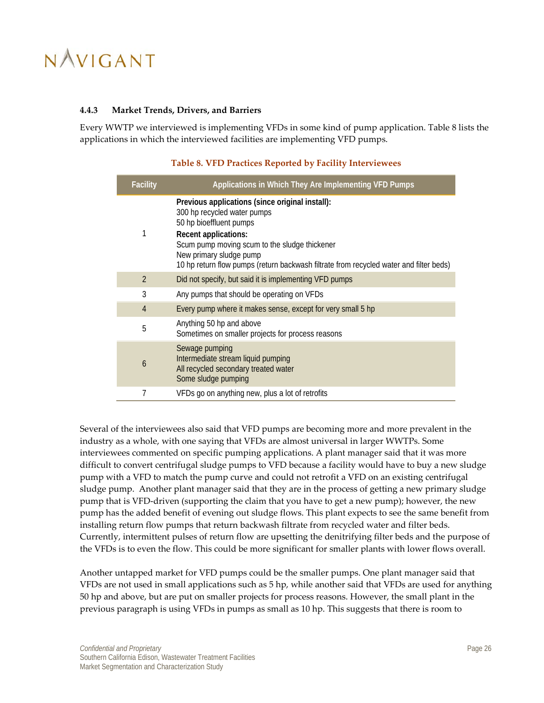#### <span id="page-32-0"></span>**4.4.3 Market Trends, Drivers, and Barriers**

<span id="page-32-1"></span>Every WWTP we interviewed is implementing VFDs in some kind of pump application. [Table 8](#page-32-1) lists the applications in which the interviewed facilities are implementing VFD pumps.

| <b>Facility</b> | Applications in Which They Are Implementing VFD Pumps                                                                                                                                                                |
|-----------------|----------------------------------------------------------------------------------------------------------------------------------------------------------------------------------------------------------------------|
| 1               | Previous applications (since original install):<br>300 hp recycled water pumps<br>50 hp bioeffluent pumps<br><b>Recent applications:</b><br>Scum pump moving scum to the sludge thickener<br>New primary sludge pump |
|                 | 10 hp return flow pumps (return backwash filtrate from recycled water and filter beds)                                                                                                                               |
| $\overline{2}$  | Did not specify, but said it is implementing VFD pumps                                                                                                                                                               |
| 3               | Any pumps that should be operating on VFDs                                                                                                                                                                           |
| 4               | Every pump where it makes sense, except for very small 5 hp                                                                                                                                                          |
| 5               | Anything 50 hp and above<br>Sometimes on smaller projects for process reasons                                                                                                                                        |
| 6               | Sewage pumping<br>Intermediate stream liquid pumping<br>All recycled secondary treated water<br>Some sludge pumping                                                                                                  |
|                 | VFDs go on anything new, plus a lot of retrofits                                                                                                                                                                     |

#### **Table 8. VFD Practices Reported by Facility Interviewees**

Several of the interviewees also said that VFD pumps are becoming more and more prevalent in the industry as a whole, with one saying that VFDs are almost universal in larger WWTPs. Some interviewees commented on specific pumping applications. A plant manager said that it was more difficult to convert centrifugal sludge pumps to VFD because a facility would have to buy a new sludge pump with a VFD to match the pump curve and could not retrofit a VFD on an existing centrifugal sludge pump. Another plant manager said that they are in the process of getting a new primary sludge pump that is VFD-driven (supporting the claim that you have to get a new pump); however, the new pump has the added benefit of evening out sludge flows. This plant expects to see the same benefit from installing return flow pumps that return backwash filtrate from recycled water and filter beds. Currently, intermittent pulses of return flow are upsetting the denitrifying filter beds and the purpose of the VFDs is to even the flow. This could be more significant for smaller plants with lower flows overall.

Another untapped market for VFD pumps could be the smaller pumps. One plant manager said that VFDs are not used in small applications such as 5 hp, while another said that VFDs are used for anything 50 hp and above, but are put on smaller projects for process reasons. However, the small plant in the previous paragraph is using VFDs in pumps as small as 10 hp. This suggests that there is room to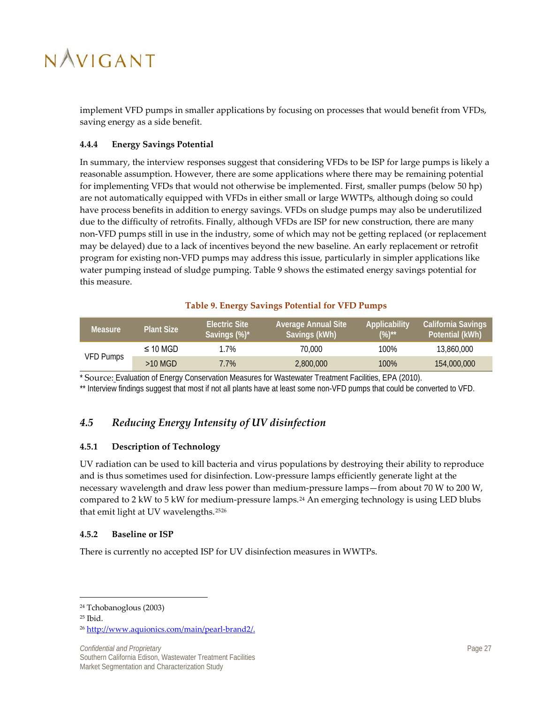implement VFD pumps in smaller applications by focusing on processes that would benefit from VFDs, saving energy as a side benefit.

### <span id="page-33-0"></span>**4.4.4 Energy Savings Potential**

In summary, the interview responses suggest that considering VFDs to be ISP for large pumps is likely a reasonable assumption. However, there are some applications where there may be remaining potential for implementing VFDs that would not otherwise be implemented. First, smaller pumps (below 50 hp) are not automatically equipped with VFDs in either small or large WWTPs, although doing so could have process benefits in addition to energy savings. VFDs on sludge pumps may also be underutilized due to the difficulty of retrofits. Finally, although VFDs are ISP for new construction, there are many non-VFD pumps still in use in the industry, some of which may not be getting replaced (or replacement may be delayed) due to a lack of incentives beyond the new baseline. An early replacement or retrofit program for existing non-VFD pumps may address this issue, particularly in simpler applications like water pumping instead of sludge pumping[. Table 9](#page-33-4) shows the estimated energy savings potential for this measure.

### **Table 9. Energy Savings Potential for VFD Pumps**

<span id="page-33-4"></span>

| <b>Measure</b> | Plant Size    | <b>Electric Site</b><br>Savings (%)* | <b>Average Annual Site</b><br>Savings (kWh) | Applicability<br>$(%)^{**}$ | California Savings<br>Potential (kWh) |
|----------------|---------------|--------------------------------------|---------------------------------------------|-----------------------------|---------------------------------------|
| VFD Pumps      | $\leq$ 10 MGD | 1.7%                                 | 70.000                                      | 100%                        | 13,860,000                            |
|                | $>10$ MGD     | $7.7\%$                              | 2,800,000                                   | 100%                        | 154,000,000                           |

\* Source: Evaluation of Energy Conservation Measures for Wastewater Treatment Facilities, EPA (2010).

\*\* Interview findings suggest that most if not all plants have at least some non-VFD pumps that could be converted to VFD.

### <span id="page-33-1"></span>*4.5 Reducing Energy Intensity of UV disinfection*

### <span id="page-33-2"></span>**4.5.1 Description of Technology**

UV radiation can be used to kill bacteria and virus populations by destroying their ability to reproduce and is thus sometimes used for disinfection. Low-pressure lamps efficiently generate light at the necessary wavelength and draw less power than medium-pressure lamps—from about 70 W to 200 W, compared to 2 kW to 5 kW for medium-pressure lamps.<sup>[24](#page-33-5)</sup> An emerging technology is using LED blubs that emit light at UV wavelengths.[25](#page-33-6)[26](#page-33-7)

### <span id="page-33-3"></span>**4.5.2 Baseline or ISP**

There is currently no accepted ISP for UV disinfection measures in WWTPs.

 $\overline{a}$ 

**Confidential and Proprietary Page 27** Southern California Edison, Wastewater Treatment Facilities Market Segmentation and Characterization Study

<span id="page-33-6"></span><span id="page-33-5"></span><sup>24</sup> Tchobanoglous (2003)

 $25$  Ibid.

<span id="page-33-7"></span><sup>26</sup> [http://www.aquionics.com/main/pearl-brand2/.](http://www.aquionics.com/main/pearl-brand2/)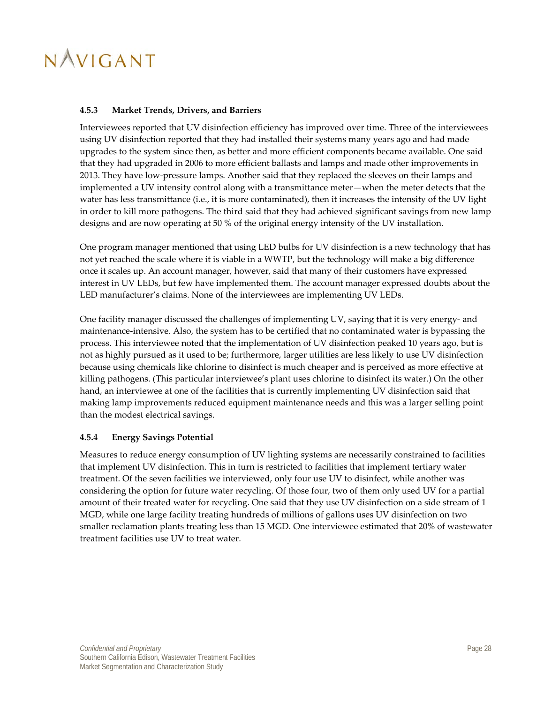### <span id="page-34-0"></span>**4.5.3 Market Trends, Drivers, and Barriers**

Interviewees reported that UV disinfection efficiency has improved over time. Three of the interviewees using UV disinfection reported that they had installed their systems many years ago and had made upgrades to the system since then, as better and more efficient components became available. One said that they had upgraded in 2006 to more efficient ballasts and lamps and made other improvements in 2013. They have low-pressure lamps. Another said that they replaced the sleeves on their lamps and implemented a UV intensity control along with a transmittance meter—when the meter detects that the water has less transmittance (i.e., it is more contaminated), then it increases the intensity of the UV light in order to kill more pathogens. The third said that they had achieved significant savings from new lamp designs and are now operating at 50 % of the original energy intensity of the UV installation.

One program manager mentioned that using LED bulbs for UV disinfection is a new technology that has not yet reached the scale where it is viable in a WWTP, but the technology will make a big difference once it scales up. An account manager, however, said that many of their customers have expressed interest in UV LEDs, but few have implemented them. The account manager expressed doubts about the LED manufacturer's claims. None of the interviewees are implementing UV LEDs.

One facility manager discussed the challenges of implementing UV, saying that it is very energy- and maintenance-intensive. Also, the system has to be certified that no contaminated water is bypassing the process. This interviewee noted that the implementation of UV disinfection peaked 10 years ago, but is not as highly pursued as it used to be; furthermore, larger utilities are less likely to use UV disinfection because using chemicals like chlorine to disinfect is much cheaper and is perceived as more effective at killing pathogens. (This particular interviewee's plant uses chlorine to disinfect its water.) On the other hand, an interviewee at one of the facilities that is currently implementing UV disinfection said that making lamp improvements reduced equipment maintenance needs and this was a larger selling point than the modest electrical savings.

### <span id="page-34-1"></span>**4.5.4 Energy Savings Potential**

Measures to reduce energy consumption of UV lighting systems are necessarily constrained to facilities that implement UV disinfection. This in turn is restricted to facilities that implement tertiary water treatment. Of the seven facilities we interviewed, only four use UV to disinfect, while another was considering the option for future water recycling. Of those four, two of them only used UV for a partial amount of their treated water for recycling. One said that they use UV disinfection on a side stream of 1 MGD, while one large facility treating hundreds of millions of gallons uses UV disinfection on two smaller reclamation plants treating less than 15 MGD. One interviewee estimated that 20% of wastewater treatment facilities use UV to treat water.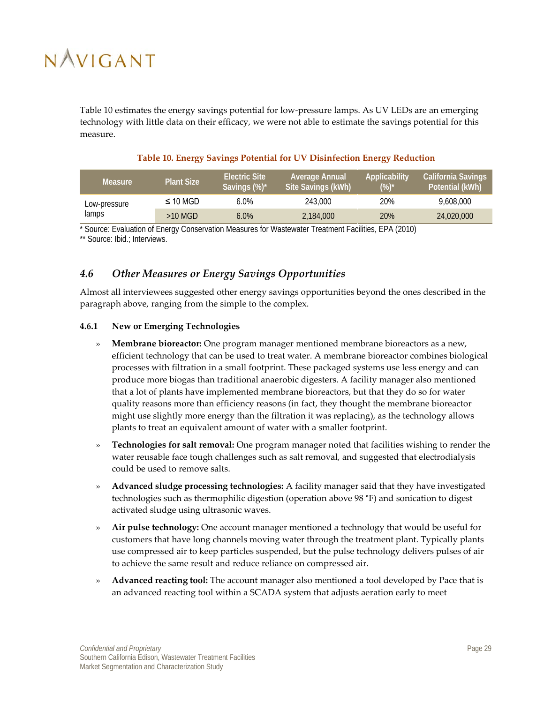[Table 10](#page-35-2) estimates the energy savings potential for low-pressure lamps. As UV LEDs are an emerging technology with little data on their efficacy, we were not able to estimate the savings potential for this measure.

<span id="page-35-2"></span>

| <b>Measure</b>        | <b>Plant Size</b> | <b>Electric Site</b><br>Savings (%)* | Average Annual<br>Site Savings (kWh) | Applicability<br>(%)* | <b>California Savings</b><br>Potential (kWh) |
|-----------------------|-------------------|--------------------------------------|--------------------------------------|-----------------------|----------------------------------------------|
| Low-pressure<br>lamps | $\leq$ 10 MGD     | 6.0%                                 | 243.000                              | 20%                   | 9.608.000                                    |
|                       | $>10$ MGD         | $6.0\%$                              | 2,184,000                            | 20%                   | 24,020,000                                   |

### **Table 10. Energy Savings Potential for UV Disinfection Energy Reduction**

\* Source: Evaluation of Energy Conservation Measures for Wastewater Treatment Facilities, EPA (2010)

\*\* Source: Ibid.; Interviews.

### <span id="page-35-0"></span>*4.6 Other Measures or Energy Savings Opportunities*

Almost all interviewees suggested other energy savings opportunities beyond the ones described in the paragraph above, ranging from the simple to the complex.

### <span id="page-35-1"></span>**4.6.1 New or Emerging Technologies**

- » **Membrane bioreactor:** One program manager mentioned membrane bioreactors as a new, efficient technology that can be used to treat water. A membrane bioreactor combines biological processes with filtration in a small footprint. These packaged systems use less energy and can produce more biogas than traditional anaerobic digesters. A facility manager also mentioned that a lot of plants have implemented membrane bioreactors, but that they do so for water quality reasons more than efficiency reasons (in fact, they thought the membrane bioreactor might use slightly more energy than the filtration it was replacing), as the technology allows plants to treat an equivalent amount of water with a smaller footprint.
- » **Technologies for salt removal:** One program manager noted that facilities wishing to render the water reusable face tough challenges such as salt removal, and suggested that electrodialysis could be used to remove salts.
- » **Advanced sludge processing technologies:** A facility manager said that they have investigated technologies such as thermophilic digestion (operation above 98 °F) and sonication to digest activated sludge using ultrasonic waves.
- » **Air pulse technology:** One account manager mentioned a technology that would be useful for customers that have long channels moving water through the treatment plant. Typically plants use compressed air to keep particles suspended, but the pulse technology delivers pulses of air to achieve the same result and reduce reliance on compressed air.
- » **Advanced reacting tool:** The account manager also mentioned a tool developed by Pace that is an advanced reacting tool within a SCADA system that adjusts aeration early to meet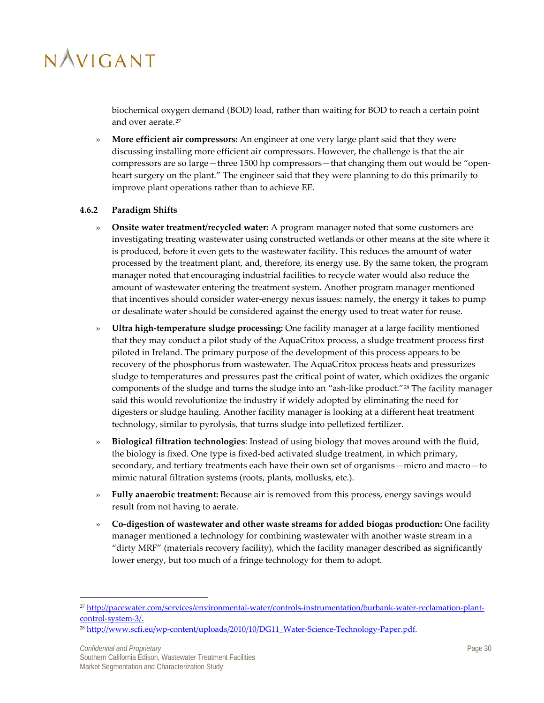biochemical oxygen demand (BOD) load, rather than waiting for BOD to reach a certain point and over aerate.<sup>[27](#page-36-1)</sup>

» **More efficient air compressors:** An engineer at one very large plant said that they were discussing installing more efficient air compressors. However, the challenge is that the air compressors are so large—three 1500 hp compressors—that changing them out would be "openheart surgery on the plant." The engineer said that they were planning to do this primarily to improve plant operations rather than to achieve EE.

### <span id="page-36-0"></span>**4.6.2 Paradigm Shifts**

- » **Onsite water treatment/recycled water:** A program manager noted that some customers are investigating treating wastewater using constructed wetlands or other means at the site where it is produced, before it even gets to the wastewater facility. This reduces the amount of water processed by the treatment plant, and, therefore, its energy use. By the same token, the program manager noted that encouraging industrial facilities to recycle water would also reduce the amount of wastewater entering the treatment system. Another program manager mentioned that incentives should consider water-energy nexus issues: namely, the energy it takes to pump or desalinate water should be considered against the energy used to treat water for reuse.
- » **Ultra high-temperature sludge processing:** One facility manager at a large facility mentioned that they may conduct a pilot study of the AquaCritox process, a sludge treatment process first piloted in Ireland. The primary purpose of the development of this process appears to be recovery of the phosphorus from wastewater. The AquaCritox process heats and pressurizes sludge to temperatures and pressures past the critical point of water, which oxidizes the organic components of the sludge and turns the sludge into an "ash-like product."[28](#page-36-2) The facility manager said this would revolutionize the industry if widely adopted by eliminating the need for digesters or sludge hauling. Another facility manager is looking at a different heat treatment technology, similar to pyrolysis, that turns sludge into pelletized fertilizer.
- » **Biological filtration technologies**: Instead of using biology that moves around with the fluid, the biology is fixed. One type is fixed-bed activated sludge treatment, in which primary, secondary, and tertiary treatments each have their own set of organisms—micro and macro—to mimic natural filtration systems (roots, plants, mollusks, etc.).
- » **Fully anaerobic treatment:** Because air is removed from this process, energy savings would result from not having to aerate.
- » **Co-digestion of wastewater and other waste streams for added biogas production:** One facility manager mentioned a technology for combining wastewater with another waste stream in a "dirty MRF" (materials recovery facility), which the facility manager described as significantly lower energy, but too much of a fringe technology for them to adopt.

 $\overline{a}$ 

<span id="page-36-1"></span><sup>27</sup> [http://pacewater.com/services/environmental-water/controls-instrumentation/burbank-water-reclamation-plant](http://pacewater.com/services/environmental-water/controls-instrumentation/burbank-water-reclamation-plant-control-system-3/)[control-system-3/.](http://pacewater.com/services/environmental-water/controls-instrumentation/burbank-water-reclamation-plant-control-system-3/)

<span id="page-36-2"></span><sup>&</sup>lt;sup>28</sup> [http://www.scfi.eu/wp-content/uploads/2010/10/DG11\\_Water-Science-Technology-Paper.pdf.](http://www.scfi.eu/wp-content/uploads/2010/10/DG11_Water-Science-Technology-Paper.pdf)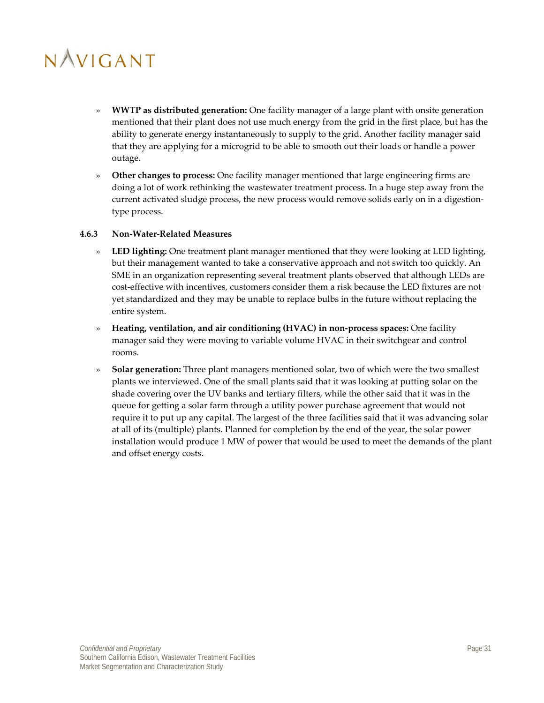- » **WWTP as distributed generation:** One facility manager of a large plant with onsite generation mentioned that their plant does not use much energy from the grid in the first place, but has the ability to generate energy instantaneously to supply to the grid. Another facility manager said that they are applying for a microgrid to be able to smooth out their loads or handle a power outage.
- » **Other changes to process:** One facility manager mentioned that large engineering firms are doing a lot of work rethinking the wastewater treatment process. In a huge step away from the current activated sludge process, the new process would remove solids early on in a digestiontype process.

#### <span id="page-37-0"></span>**4.6.3 Non-Water-Related Measures**

- » **LED lighting:** One treatment plant manager mentioned that they were looking at LED lighting, but their management wanted to take a conservative approach and not switch too quickly. An SME in an organization representing several treatment plants observed that although LEDs are cost-effective with incentives, customers consider them a risk because the LED fixtures are not yet standardized and they may be unable to replace bulbs in the future without replacing the entire system.
- » **Heating, ventilation, and air conditioning (HVAC) in non-process spaces:** One facility manager said they were moving to variable volume HVAC in their switchgear and control rooms.
- » **Solar generation:** Three plant managers mentioned solar, two of which were the two smallest plants we interviewed. One of the small plants said that it was looking at putting solar on the shade covering over the UV banks and tertiary filters, while the other said that it was in the queue for getting a solar farm through a utility power purchase agreement that would not require it to put up any capital. The largest of the three facilities said that it was advancing solar at all of its (multiple) plants. Planned for completion by the end of the year, the solar power installation would produce 1 MW of power that would be used to meet the demands of the plant and offset energy costs.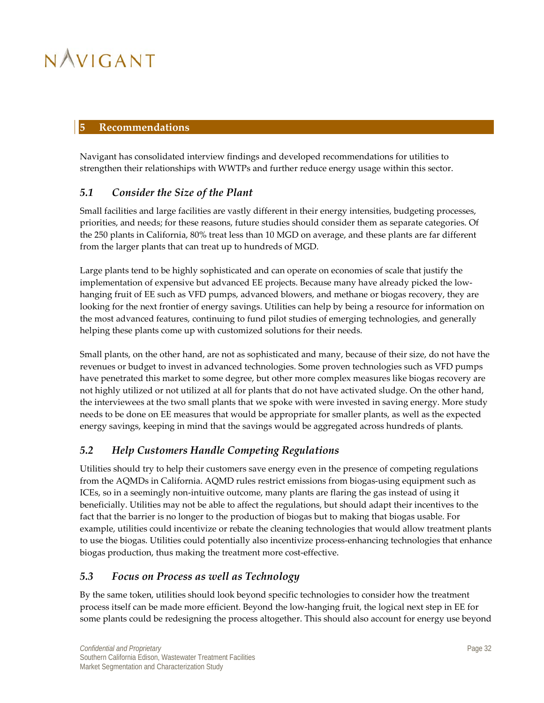### <span id="page-38-0"></span>**5 Recommendations**

Navigant has consolidated interview findings and developed recommendations for utilities to strengthen their relationships with WWTPs and further reduce energy usage within this sector.

### <span id="page-38-1"></span>*5.1 Consider the Size of the Plant*

Small facilities and large facilities are vastly different in their energy intensities, budgeting processes, priorities, and needs; for these reasons, future studies should consider them as separate categories. Of the 250 plants in California, 80% treat less than 10 MGD on average, and these plants are far different from the larger plants that can treat up to hundreds of MGD.

Large plants tend to be highly sophisticated and can operate on economies of scale that justify the implementation of expensive but advanced EE projects. Because many have already picked the lowhanging fruit of EE such as VFD pumps, advanced blowers, and methane or biogas recovery, they are looking for the next frontier of energy savings. Utilities can help by being a resource for information on the most advanced features, continuing to fund pilot studies of emerging technologies, and generally helping these plants come up with customized solutions for their needs.

Small plants, on the other hand, are not as sophisticated and many, because of their size, do not have the revenues or budget to invest in advanced technologies. Some proven technologies such as VFD pumps have penetrated this market to some degree, but other more complex measures like biogas recovery are not highly utilized or not utilized at all for plants that do not have activated sludge. On the other hand, the interviewees at the two small plants that we spoke with were invested in saving energy. More study needs to be done on EE measures that would be appropriate for smaller plants, as well as the expected energy savings, keeping in mind that the savings would be aggregated across hundreds of plants.

### <span id="page-38-2"></span>*5.2 Help Customers Handle Competing Regulations*

Utilities should try to help their customers save energy even in the presence of competing regulations from the AQMDs in California. AQMD rules restrict emissions from biogas-using equipment such as ICEs, so in a seemingly non-intuitive outcome, many plants are flaring the gas instead of using it beneficially. Utilities may not be able to affect the regulations, but should adapt their incentives to the fact that the barrier is no longer to the production of biogas but to making that biogas usable. For example, utilities could incentivize or rebate the cleaning technologies that would allow treatment plants to use the biogas. Utilities could potentially also incentivize process-enhancing technologies that enhance biogas production, thus making the treatment more cost-effective.

### <span id="page-38-3"></span>*5.3 Focus on Process as well as Technology*

By the same token, utilities should look beyond specific technologies to consider how the treatment process itself can be made more efficient. Beyond the low-hanging fruit, the logical next step in EE for some plants could be redesigning the process altogether. This should also account for energy use beyond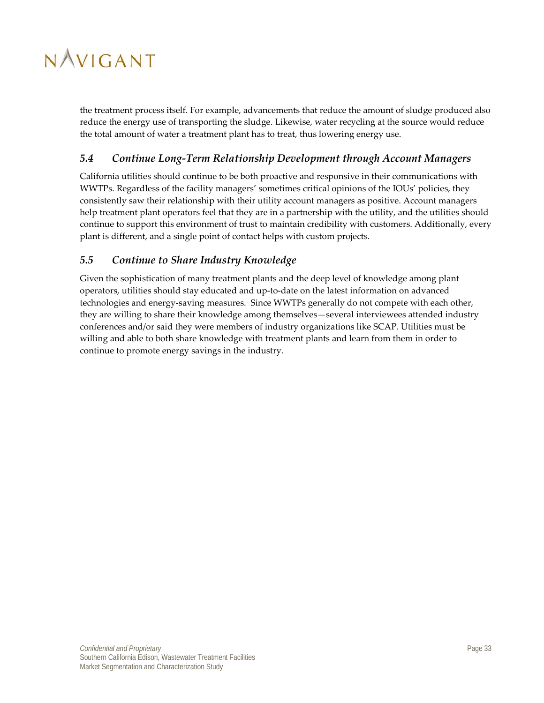the treatment process itself. For example, advancements that reduce the amount of sludge produced also reduce the energy use of transporting the sludge. Likewise, water recycling at the source would reduce the total amount of water a treatment plant has to treat, thus lowering energy use.

### <span id="page-39-0"></span>*5.4 Continue Long-Term Relationship Development through Account Managers*

California utilities should continue to be both proactive and responsive in their communications with WWTPs. Regardless of the facility managers' sometimes critical opinions of the IOUs' policies, they consistently saw their relationship with their utility account managers as positive. Account managers help treatment plant operators feel that they are in a partnership with the utility, and the utilities should continue to support this environment of trust to maintain credibility with customers. Additionally, every plant is different, and a single point of contact helps with custom projects.

### <span id="page-39-1"></span>*5.5 Continue to Share Industry Knowledge*

Given the sophistication of many treatment plants and the deep level of knowledge among plant operators, utilities should stay educated and up-to-date on the latest information on advanced technologies and energy-saving measures. Since WWTPs generally do not compete with each other, they are willing to share their knowledge among themselves—several interviewees attended industry conferences and/or said they were members of industry organizations like SCAP. Utilities must be willing and able to both share knowledge with treatment plants and learn from them in order to continue to promote energy savings in the industry.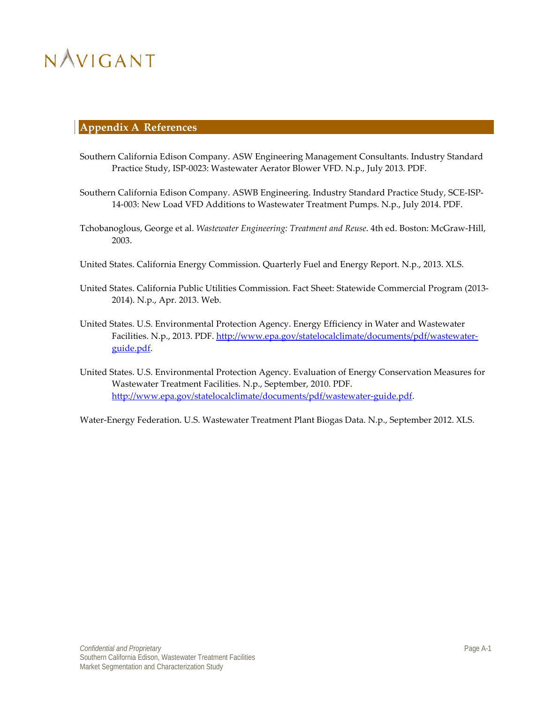### <span id="page-40-0"></span>**Appendix A References**

- Southern California Edison Company. ASW Engineering Management Consultants. Industry Standard Practice Study, ISP-0023: Wastewater Aerator Blower VFD. N.p., July 2013. PDF.
- Southern California Edison Company. ASWB Engineering. Industry Standard Practice Study, SCE-ISP-14-003: New Load VFD Additions to Wastewater Treatment Pumps. N.p., July 2014. PDF.
- Tchobanoglous, George et al. *Wastewater Engineering: Treatment and Reuse*. 4th ed. Boston: McGraw-Hill, 2003.
- United States. California Energy Commission. Quarterly Fuel and Energy Report. N.p., 2013. XLS.
- United States. California Public Utilities Commission. Fact Sheet: Statewide Commercial Program (2013- 2014). N.p., Apr. 2013. Web.
- United States. U.S. Environmental Protection Agency. Energy Efficiency in Water and Wastewater Facilities. N.p., 2013. PDF[. http://www.epa.gov/statelocalclimate/documents/pdf/wastewater](http://www.epa.gov/statelocalclimate/documents/pdf/wastewater-guide.pdf)[guide.pdf.](http://www.epa.gov/statelocalclimate/documents/pdf/wastewater-guide.pdf)
- United States. U.S. Environmental Protection Agency. Evaluation of Energy Conservation Measures for Wastewater Treatment Facilities. N.p., September, 2010. PDF. [http://www.epa.gov/statelocalclimate/documents/pdf/wastewater-guide.pdf.](http://www.epa.gov/statelocalclimate/documents/pdf/wastewater-guide.pdf)

Water-Energy Federation. U.S. Wastewater Treatment Plant Biogas Data. N.p., September 2012. XLS.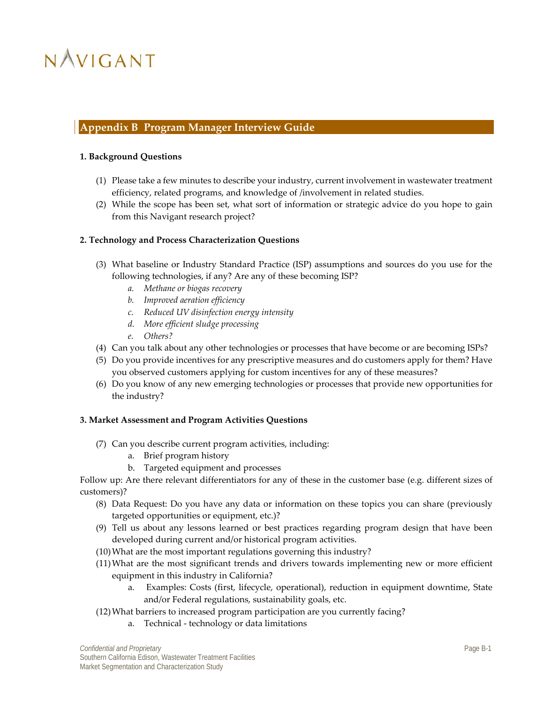### <span id="page-41-0"></span>**Appendix B Program Manager Interview Guide**

#### **1. Background Questions**

- (1) Please take a few minutes to describe your industry, current involvement in wastewater treatment efficiency, related programs, and knowledge of /involvement in related studies.
- (2) While the scope has been set, what sort of information or strategic advice do you hope to gain from this Navigant research project?

#### **2. Technology and Process Characterization Questions**

- (3) What baseline or Industry Standard Practice (ISP) assumptions and sources do you use for the following technologies, if any? Are any of these becoming ISP?
	- *a. Methane or biogas recovery*
	- *b. Improved aeration efficiency*
	- *c. Reduced UV disinfection energy intensity*
	- *d. More efficient sludge processing*
	- *e. Others?*
- (4) Can you talk about any other technologies or processes that have become or are becoming ISPs?
- (5) Do you provide incentives for any prescriptive measures and do customers apply for them? Have you observed customers applying for custom incentives for any of these measures?
- (6) Do you know of any new emerging technologies or processes that provide new opportunities for the industry?

### **3. Market Assessment and Program Activities Questions**

- (7) Can you describe current program activities, including:
	- a. Brief program history
	- b. Targeted equipment and processes

Follow up: Are there relevant differentiators for any of these in the customer base (e.g. different sizes of customers)?

- (8) Data Request: Do you have any data or information on these topics you can share (previously targeted opportunities or equipment, etc.)?
- (9) Tell us about any lessons learned or best practices regarding program design that have been developed during current and/or historical program activities.
- (10)What are the most important regulations governing this industry?
- (11)What are the most significant trends and drivers towards implementing new or more efficient equipment in this industry in California?
	- a. Examples: Costs (first, lifecycle, operational), reduction in equipment downtime, State and/or Federal regulations, sustainability goals, etc.
- (12)What barriers to increased program participation are you currently facing?
	- a. Technical technology or data limitations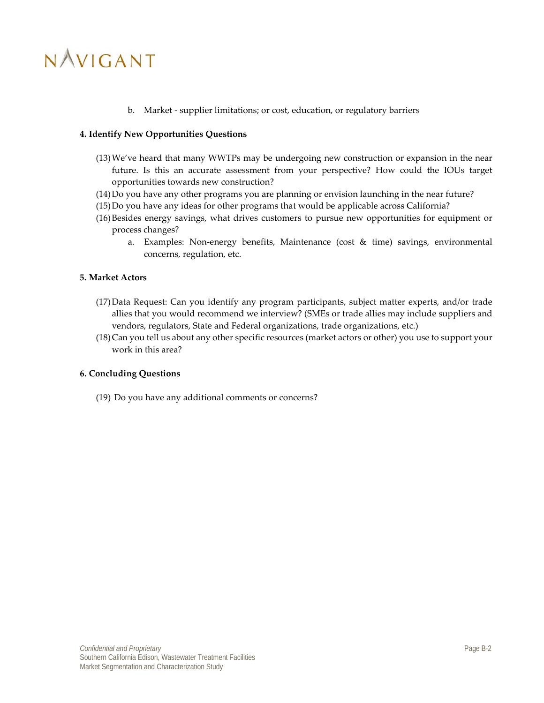b. Market - supplier limitations; or cost, education, or regulatory barriers

### **4. Identify New Opportunities Questions**

- (13)We've heard that many WWTPs may be undergoing new construction or expansion in the near future. Is this an accurate assessment from your perspective? How could the IOUs target opportunities towards new construction?
- (14)Do you have any other programs you are planning or envision launching in the near future?
- (15)Do you have any ideas for other programs that would be applicable across California?
- (16)Besides energy savings, what drives customers to pursue new opportunities for equipment or process changes?
	- a. Examples: Non-energy benefits, Maintenance (cost & time) savings, environmental concerns, regulation, etc.

#### **5. Market Actors**

- (17)Data Request: Can you identify any program participants, subject matter experts, and/or trade allies that you would recommend we interview? (SMEs or trade allies may include suppliers and vendors, regulators, State and Federal organizations, trade organizations, etc.)
- (18)Can you tell us about any other specific resources (market actors or other) you use to support your work in this area?

#### **6. Concluding Questions**

(19) Do you have any additional comments or concerns?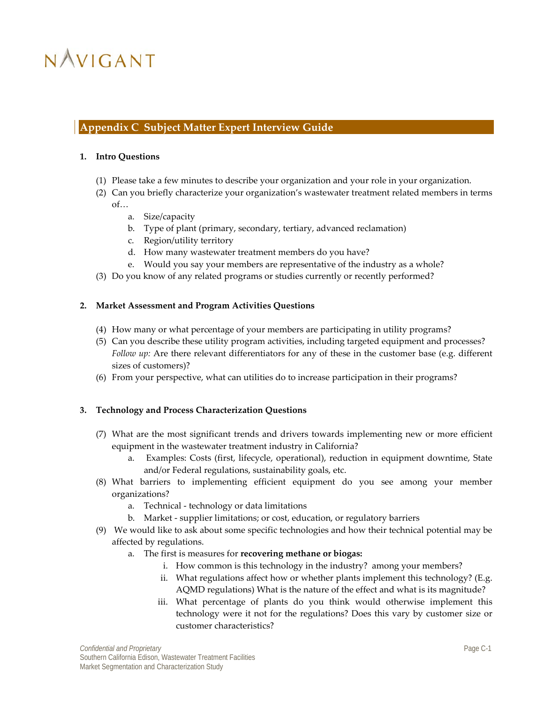### <span id="page-43-0"></span>**Appendix C Subject Matter Expert Interview Guide**

#### **1. Intro Questions**

- (1) Please take a few minutes to describe your organization and your role in your organization.
- (2) Can you briefly characterize your organization's wastewater treatment related members in terms of…
	- a. Size/capacity
	- b. Type of plant (primary, secondary, tertiary, advanced reclamation)
	- c. Region/utility territory
	- d. How many wastewater treatment members do you have?
	- e. Would you say your members are representative of the industry as a whole?
- (3) Do you know of any related programs or studies currently or recently performed?

#### **2. Market Assessment and Program Activities Questions**

- (4) How many or what percentage of your members are participating in utility programs?
- (5) Can you describe these utility program activities, including targeted equipment and processes? *Follow up:* Are there relevant differentiators for any of these in the customer base (e.g. different sizes of customers)?
- (6) From your perspective, what can utilities do to increase participation in their programs?

#### **3. Technology and Process Characterization Questions**

- (7) What are the most significant trends and drivers towards implementing new or more efficient equipment in the wastewater treatment industry in California?
	- a. Examples: Costs (first, lifecycle, operational), reduction in equipment downtime, State and/or Federal regulations, sustainability goals, etc.
- (8) What barriers to implementing efficient equipment do you see among your member organizations?
	- a. Technical technology or data limitations
	- b. Market supplier limitations; or cost, education, or regulatory barriers
- (9) We would like to ask about some specific technologies and how their technical potential may be affected by regulations.
	- a. The first is measures for **recovering methane or biogas:**
		- i. How common is this technology in the industry? among your members?
		- ii. What regulations affect how or whether plants implement this technology? (E.g. AQMD regulations) What is the nature of the effect and what is its magnitude?
		- iii. What percentage of plants do you think would otherwise implement this technology were it not for the regulations? Does this vary by customer size or customer characteristics?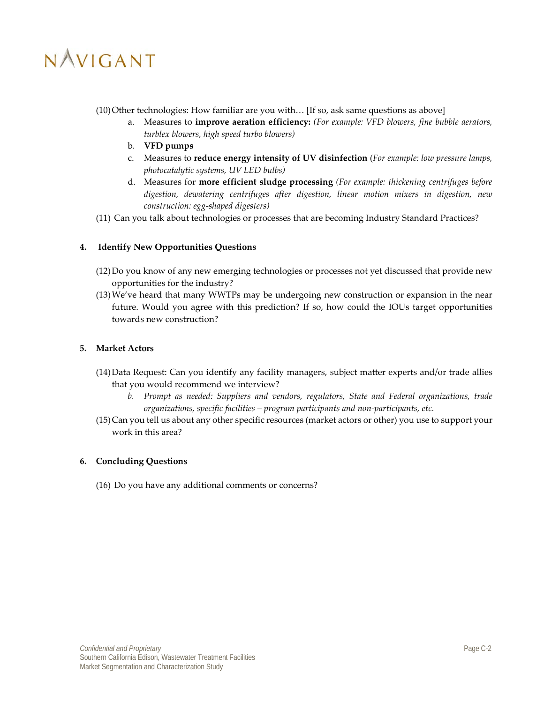$(10)$  Other technologies: How familiar are you with... [If so, ask same questions as above]

- a. Measures to **improve aeration efficiency:** *(For example: VFD blowers, fine bubble aerators, turblex blowers, high speed turbo blowers)*
- b. **VFD pumps**
- c. Measures to **reduce energy intensity of UV disinfection** (*For example: low pressure lamps, photocatalytic systems, UV LED bulbs)*
- d. Measures for **more efficient sludge processing** *(For example: thickening centrifuges before digestion, dewatering centrifuges after digestion, linear motion mixers in digestion, new construction: egg-shaped digesters)*
- (11) Can you talk about technologies or processes that are becoming Industry Standard Practices?

### **4. Identify New Opportunities Questions**

- (12)Do you know of any new emerging technologies or processes not yet discussed that provide new opportunities for the industry?
- (13)We've heard that many WWTPs may be undergoing new construction or expansion in the near future. Would you agree with this prediction? If so, how could the IOUs target opportunities towards new construction?

### **5. Market Actors**

- (14)Data Request: Can you identify any facility managers, subject matter experts and/or trade allies that you would recommend we interview?
	- *b. Prompt as needed: Suppliers and vendors, regulators, State and Federal organizations, trade organizations, specific facilities – program participants and non-participants, etc.*
- (15)Can you tell us about any other specific resources (market actors or other) you use to support your work in this area?

### **6. Concluding Questions**

(16) Do you have any additional comments or concerns?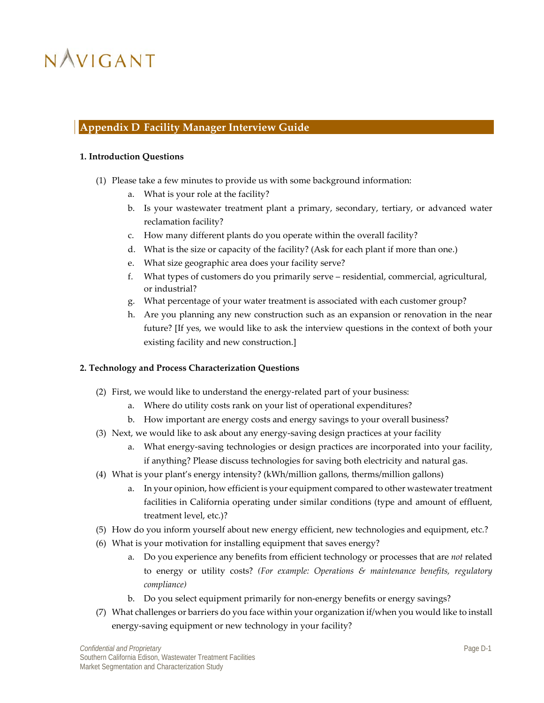### <span id="page-45-0"></span>**Appendix D Facility Manager Interview Guide**

#### **1. Introduction Questions**

- (1) Please take a few minutes to provide us with some background information:
	- a. What is your role at the facility?
	- b. Is your wastewater treatment plant a primary, secondary, tertiary, or advanced water reclamation facility?
	- c. How many different plants do you operate within the overall facility?
	- d. What is the size or capacity of the facility? (Ask for each plant if more than one.)
	- e. What size geographic area does your facility serve?
	- f. What types of customers do you primarily serve residential, commercial, agricultural, or industrial?
	- g. What percentage of your water treatment is associated with each customer group?
	- h. Are you planning any new construction such as an expansion or renovation in the near future? [If yes, we would like to ask the interview questions in the context of both your existing facility and new construction.]

### **2. Technology and Process Characterization Questions**

- (2) First, we would like to understand the energy-related part of your business:
	- a. Where do utility costs rank on your list of operational expenditures?
	- b. How important are energy costs and energy savings to your overall business?
- (3) Next, we would like to ask about any energy-saving design practices at your facility
	- a. What energy-saving technologies or design practices are incorporated into your facility, if anything? Please discuss technologies for saving both electricity and natural gas.
- (4) What is your plant's energy intensity? (kWh/million gallons, therms/million gallons)
	- a. In your opinion, how efficient is your equipment compared to other wastewater treatment facilities in California operating under similar conditions (type and amount of effluent, treatment level, etc.)?
- (5) How do you inform yourself about new energy efficient, new technologies and equipment, etc.?
- (6) What is your motivation for installing equipment that saves energy?
	- a. Do you experience any benefits from efficient technology or processes that are *not* related to energy or utility costs? *(For example: Operations & maintenance benefits, regulatory compliance)*
	- b. Do you select equipment primarily for non-energy benefits or energy savings?
- (7) What challenges or barriers do you face within your organization if/when you would like to install energy-saving equipment or new technology in your facility?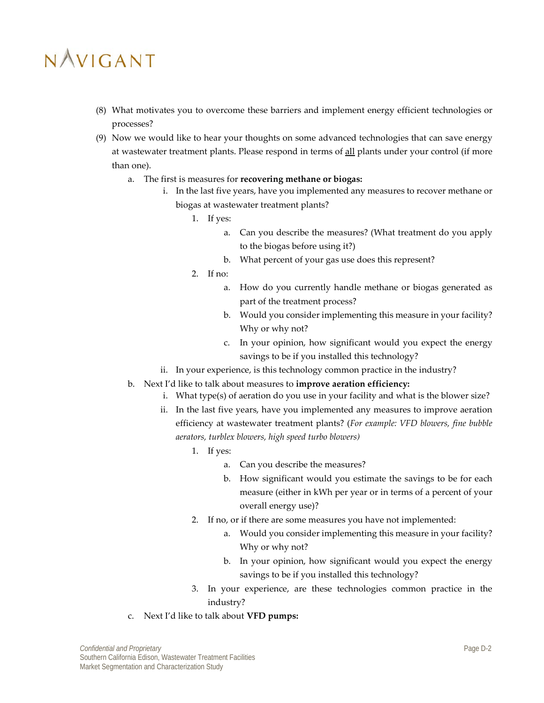- (8) What motivates you to overcome these barriers and implement energy efficient technologies or processes?
- (9) Now we would like to hear your thoughts on some advanced technologies that can save energy at wastewater treatment plants. Please respond in terms of all plants under your control (if more than one).
	- a. The first is measures for **recovering methane or biogas:**
		- i. In the last five years, have you implemented any measures to recover methane or biogas at wastewater treatment plants?
			- 1. If yes:
				- a. Can you describe the measures? (What treatment do you apply to the biogas before using it?)
				- b. What percent of your gas use does this represent?
			- 2. If no:
				- a. How do you currently handle methane or biogas generated as part of the treatment process?
				- b. Would you consider implementing this measure in your facility? Why or why not?
				- c. In your opinion, how significant would you expect the energy savings to be if you installed this technology?
		- ii. In your experience, is this technology common practice in the industry?
	- b. Next I'd like to talk about measures to **improve aeration efficiency:** 
		- i. What type(s) of aeration do you use in your facility and what is the blower size?
		- ii. In the last five years, have you implemented any measures to improve aeration efficiency at wastewater treatment plants? (*For example: VFD blowers, fine bubble aerators, turblex blowers, high speed turbo blowers)*
			- 1. If yes:
				- a. Can you describe the measures?
				- b. How significant would you estimate the savings to be for each measure (either in kWh per year or in terms of a percent of your overall energy use)?
			- 2. If no, or if there are some measures you have not implemented:
				- Would you consider implementing this measure in your facility? Why or why not?
				- b. In your opinion, how significant would you expect the energy savings to be if you installed this technology?
			- 3. In your experience, are these technologies common practice in the industry?
	- c. Next I'd like to talk about **VFD pumps:**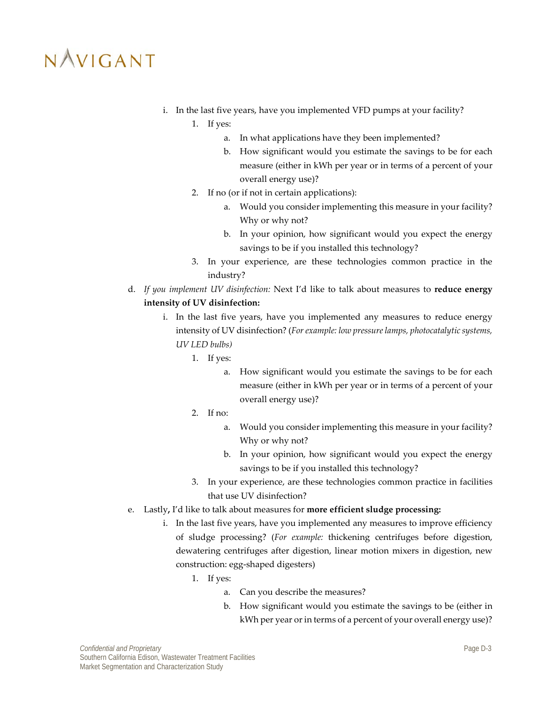- i. In the last five years, have you implemented VFD pumps at your facility?
	- 1. If yes:
		- a. In what applications have they been implemented?
		- b. How significant would you estimate the savings to be for each measure (either in kWh per year or in terms of a percent of your overall energy use)?
	- 2. If no (or if not in certain applications):
		- a. Would you consider implementing this measure in your facility? Why or why not?
		- b. In your opinion, how significant would you expect the energy savings to be if you installed this technology?
	- 3. In your experience, are these technologies common practice in the industry?
- d. *If you implement UV disinfection:* Next I'd like to talk about measures to **reduce energy intensity of UV disinfection:**
	- i. In the last five years, have you implemented any measures to reduce energy intensity of UV disinfection? (*For example: low pressure lamps, photocatalytic systems, UV LED bulbs)*
		- 1. If yes:
			- a. How significant would you estimate the savings to be for each measure (either in kWh per year or in terms of a percent of your overall energy use)?
		- 2. If no:
			- a. Would you consider implementing this measure in your facility? Why or why not?
			- b. In your opinion, how significant would you expect the energy savings to be if you installed this technology?
		- 3. In your experience, are these technologies common practice in facilities that use UV disinfection?
- e. Lastly**,** I'd like to talk about measures for **more efficient sludge processing:**
	- i. In the last five years, have you implemented any measures to improve efficiency of sludge processing? (*For example:* thickening centrifuges before digestion, dewatering centrifuges after digestion, linear motion mixers in digestion, new construction: egg-shaped digesters)
		- 1. If yes:
			- a. Can you describe the measures?
			- b. How significant would you estimate the savings to be (either in kWh per year or in terms of a percent of your overall energy use)?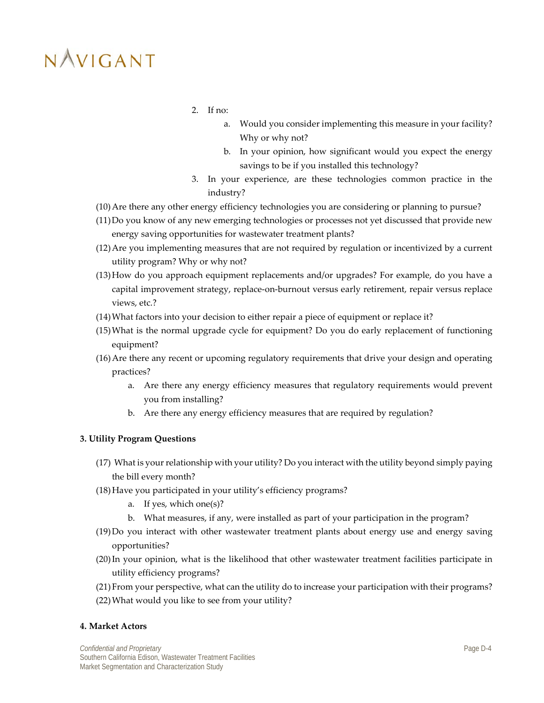- 2. If no:
	- a. Would you consider implementing this measure in your facility? Why or why not?
	- b. In your opinion, how significant would you expect the energy savings to be if you installed this technology?
- 3. In your experience, are these technologies common practice in the industry?
- (10)Are there any other energy efficiency technologies you are considering or planning to pursue?
- (11)Do you know of any new emerging technologies or processes not yet discussed that provide new energy saving opportunities for wastewater treatment plants?
- (12)Are you implementing measures that are not required by regulation or incentivized by a current utility program? Why or why not?
- (13)How do you approach equipment replacements and/or upgrades? For example, do you have a capital improvement strategy, replace-on-burnout versus early retirement, repair versus replace views, etc.?
- (14)What factors into your decision to either repair a piece of equipment or replace it?
- (15)What is the normal upgrade cycle for equipment? Do you do early replacement of functioning equipment?
- (16)Are there any recent or upcoming regulatory requirements that drive your design and operating practices?
	- a. Are there any energy efficiency measures that regulatory requirements would prevent you from installing?
	- b. Are there any energy efficiency measures that are required by regulation?

### **3. Utility Program Questions**

- (17) What is your relationship with your utility? Do you interact with the utility beyond simply paying the bill every month?
- (18)Have you participated in your utility's efficiency programs?
	- a. If yes, which one(s)?
	- b. What measures, if any, were installed as part of your participation in the program?
- (19)Do you interact with other wastewater treatment plants about energy use and energy saving opportunities?
- (20)In your opinion, what is the likelihood that other wastewater treatment facilities participate in utility efficiency programs?
- (21)From your perspective, what can the utility do to increase your participation with their programs?
- (22)What would you like to see from your utility?

#### **4. Market Actors**